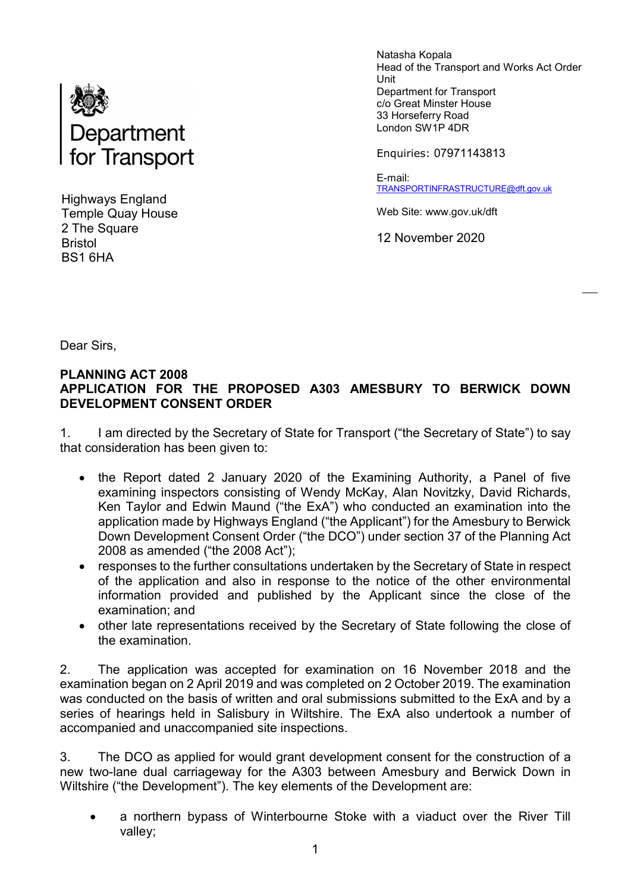

Highways England Temple Quay House 2 The Square Bristol BS1 6HA

Natasha Kopala Head of the Transport and Works Act Order Unit Department for Transport c/o Great Minster House 33 Horseferry Road London SW1P 4DR

Enquiries: 07971143813

E-mail: TRANSPORTINFRASTRUCTURE@dft.gov.uk

Web Site: www.gov.uk/dft

12 November 2020

Dear Sirs,

#### PLANNING ACT 2008 APPLICATION FOR THE PROPOSED A303 AMESBURY TO BERWICK DOWN DEVELOPMENT CONSENT ORDER

1. I am directed by the Secretary of State for Transport ("the Secretary of State") to say that consideration has been given to:

- the Report dated 2 January 2020 of the Examining Authority, a Panel of five examining inspectors consisting of Wendy McKay, Alan Novitzky, David Richards, Ken Taylor and Edwin Maund ("the ExA") who conducted an examination into the application made by Highways England ("the Applicant") for the Amesbury to Berwick Down Development Consent Order ("the DCO") under section 37 of the Planning Act 2008 as amended ("the 2008 Act");
- responses to the further consultations undertaken by the Secretary of State in respect of the application and also in response to the notice of the other environmental information provided and published by the Applicant since the close of the examination; and
- other late representations received by the Secretary of State following the close of the examination.

2. The application was accepted for examination on 16 November 2018 and the examination began on 2 April 2019 and was completed on 2 October 2019. The examination was conducted on the basis of written and oral submissions submitted to the ExA and by a series of hearings held in Salisbury in Wiltshire. The ExA also undertook a number of accompanied and unaccompanied site inspections.

3. The DCO as applied for would grant development consent for the construction of a new two-lane dual carriageway for the A303 between Amesbury and Berwick Down in Wiltshire ("the Development"). The key elements of the Development are:

 a northern bypass of Winterbourne Stoke with a viaduct over the River Till valley;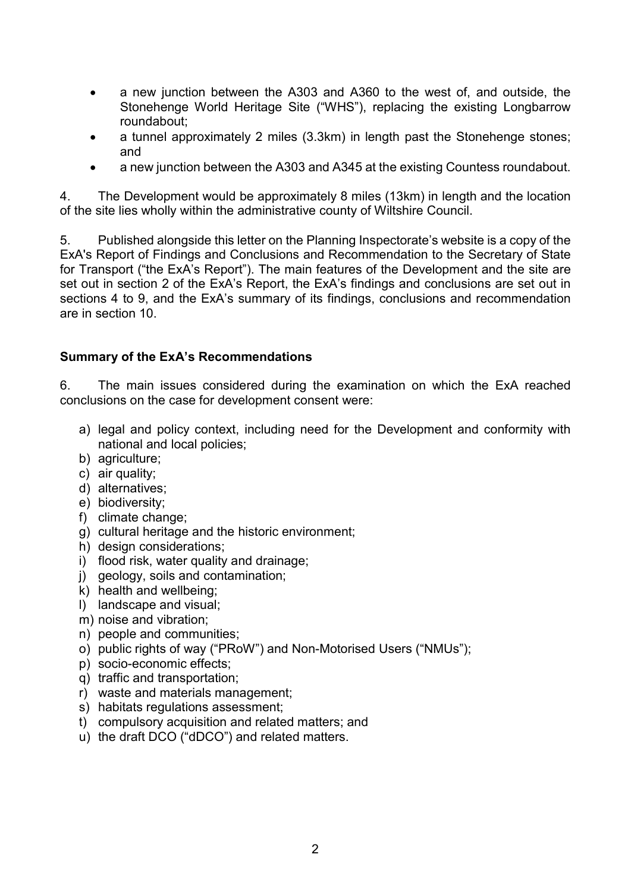- a new junction between the A303 and A360 to the west of, and outside, the Stonehenge World Heritage Site ("WHS"), replacing the existing Longbarrow roundabout;
- a tunnel approximately 2 miles (3.3km) in length past the Stonehenge stones; and
- a new junction between the A303 and A345 at the existing Countess roundabout.

4. The Development would be approximately 8 miles (13km) in length and the location of the site lies wholly within the administrative county of Wiltshire Council.

5. Published alongside this letter on the Planning Inspectorate's website is a copy of the ExA's Report of Findings and Conclusions and Recommendation to the Secretary of State for Transport ("the ExA's Report"). The main features of the Development and the site are set out in section 2 of the ExA's Report, the ExA's findings and conclusions are set out in sections 4 to 9, and the ExA's summary of its findings, conclusions and recommendation are in section 10.

#### Summary of the ExA's Recommendations

6. The main issues considered during the examination on which the ExA reached conclusions on the case for development consent were:

- a) legal and policy context, including need for the Development and conformity with national and local policies;
- b) agriculture;
- c) air quality;
- d) alternatives;
- e) biodiversity;
- f) climate change;
- g) cultural heritage and the historic environment;
- h) design considerations;
- i) flood risk, water quality and drainage;
- j) geology, soils and contamination;
- k) health and wellbeing;
- l) landscape and visual;
- m) noise and vibration;
- n) people and communities;
- o) public rights of way ("PRoW") and Non-Motorised Users ("NMUs");
- p) socio-economic effects;
- q) traffic and transportation;
- r) waste and materials management;
- s) habitats regulations assessment;
- t) compulsory acquisition and related matters; and
- u) the draft DCO ("dDCO") and related matters.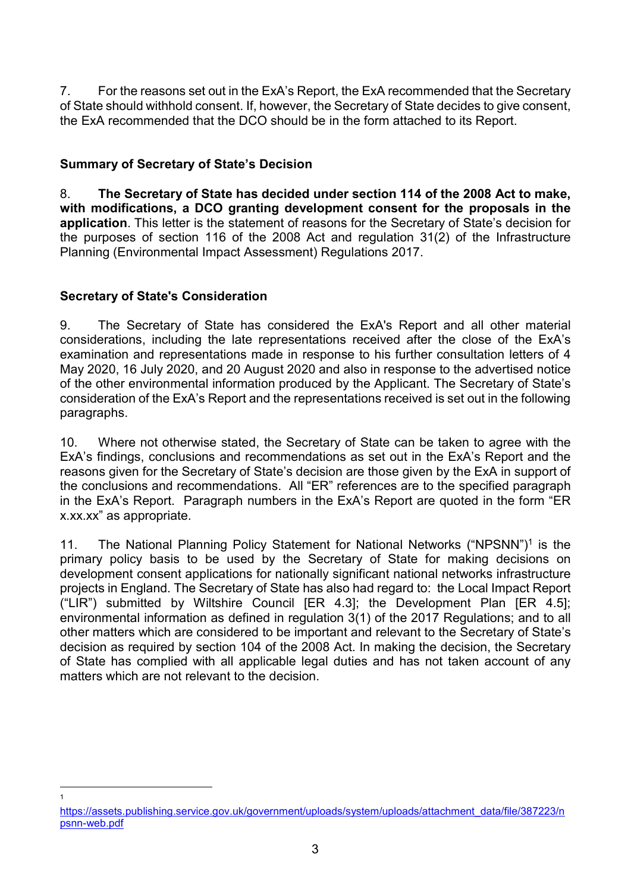7. For the reasons set out in the ExA's Report, the ExA recommended that the Secretary of State should withhold consent. If, however, the Secretary of State decides to give consent, the ExA recommended that the DCO should be in the form attached to its Report.

## Summary of Secretary of State's Decision

8. The Secretary of State has decided under section 114 of the 2008 Act to make, with modifications, a DCO granting development consent for the proposals in the application. This letter is the statement of reasons for the Secretary of State's decision for the purposes of section 116 of the 2008 Act and regulation 31(2) of the Infrastructure Planning (Environmental Impact Assessment) Regulations 2017.

# Secretary of State's Consideration

 $\frac{1}{1}$ 

9. The Secretary of State has considered the ExA's Report and all other material considerations, including the late representations received after the close of the ExA's examination and representations made in response to his further consultation letters of 4 May 2020, 16 July 2020, and 20 August 2020 and also in response to the advertised notice of the other environmental information produced by the Applicant. The Secretary of State's consideration of the ExA's Report and the representations received is set out in the following paragraphs.

10. Where not otherwise stated, the Secretary of State can be taken to agree with the ExA's findings, conclusions and recommendations as set out in the ExA's Report and the reasons given for the Secretary of State's decision are those given by the ExA in support of the conclusions and recommendations. All "ER" references are to the specified paragraph in the ExA's Report. Paragraph numbers in the ExA's Report are quoted in the form "ER x.xx.xx" as appropriate.

11. The National Planning Policy Statement for National Networks ("NPSNN")<sup>1</sup> is the primary policy basis to be used by the Secretary of State for making decisions on development consent applications for nationally significant national networks infrastructure projects in England. The Secretary of State has also had regard to: the Local Impact Report ("LIR") submitted by Wiltshire Council [ER 4.3]; the Development Plan [ER 4.5]; environmental information as defined in regulation 3(1) of the 2017 Regulations; and to all other matters which are considered to be important and relevant to the Secretary of State's decision as required by section 104 of the 2008 Act. In making the decision, the Secretary of State has complied with all applicable legal duties and has not taken account of any matters which are not relevant to the decision.

https://assets.publishing.service.gov.uk/government/uploads/system/uploads/attachment\_data/file/387223/n psnn-web.pdf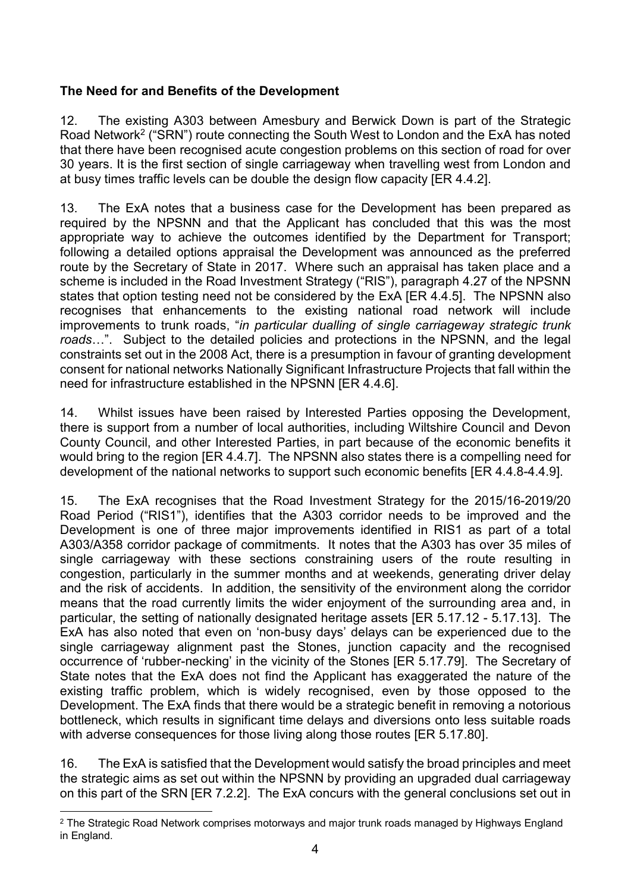# The Need for and Benefits of the Development

12. The existing A303 between Amesbury and Berwick Down is part of the Strategic Road Network<sup>2</sup> ("SRN") route connecting the South West to London and the ExA has noted that there have been recognised acute congestion problems on this section of road for over 30 years. It is the first section of single carriageway when travelling west from London and at busy times traffic levels can be double the design flow capacity [ER 4.4.2].

13. The ExA notes that a business case for the Development has been prepared as required by the NPSNN and that the Applicant has concluded that this was the most appropriate way to achieve the outcomes identified by the Department for Transport; following a detailed options appraisal the Development was announced as the preferred route by the Secretary of State in 2017. Where such an appraisal has taken place and a scheme is included in the Road Investment Strategy ("RIS"), paragraph 4.27 of the NPSNN states that option testing need not be considered by the ExA [ER 4.4.5]. The NPSNN also recognises that enhancements to the existing national road network will include improvements to trunk roads, "in particular dualling of single carriageway strategic trunk roads...". Subject to the detailed policies and protections in the NPSNN, and the legal constraints set out in the 2008 Act, there is a presumption in favour of granting development consent for national networks Nationally Significant Infrastructure Projects that fall within the need for infrastructure established in the NPSNN [ER 4.4.6].

14. Whilst issues have been raised by Interested Parties opposing the Development, there is support from a number of local authorities, including Wiltshire Council and Devon County Council, and other Interested Parties, in part because of the economic benefits it would bring to the region [ER 4.4.7]. The NPSNN also states there is a compelling need for development of the national networks to support such economic benefits [ER 4.4.8-4.4.9].

15. The ExA recognises that the Road Investment Strategy for the 2015/16-2019/20 Road Period ("RIS1"), identifies that the A303 corridor needs to be improved and the Development is one of three major improvements identified in RIS1 as part of a total A303/A358 corridor package of commitments. It notes that the A303 has over 35 miles of single carriageway with these sections constraining users of the route resulting in congestion, particularly in the summer months and at weekends, generating driver delay and the risk of accidents. In addition, the sensitivity of the environment along the corridor means that the road currently limits the wider enjoyment of the surrounding area and, in particular, the setting of nationally designated heritage assets [ER 5.17.12 - 5.17.13]. The ExA has also noted that even on 'non-busy days' delays can be experienced due to the single carriageway alignment past the Stones, junction capacity and the recognised occurrence of 'rubber-necking' in the vicinity of the Stones [ER 5.17.79]. The Secretary of State notes that the ExA does not find the Applicant has exaggerated the nature of the existing traffic problem, which is widely recognised, even by those opposed to the Development. The ExA finds that there would be a strategic benefit in removing a notorious bottleneck, which results in significant time delays and diversions onto less suitable roads with adverse consequences for those living along those routes [ER 5.17.80].

16. The ExA is satisfied that the Development would satisfy the broad principles and meet the strategic aims as set out within the NPSNN by providing an upgraded dual carriageway on this part of the SRN [ER 7.2.2]. The ExA concurs with the general conclusions set out in

 $\overline{a}$  $^2$  The Strategic Road Network comprises motorways and major trunk roads managed by Highways England in England.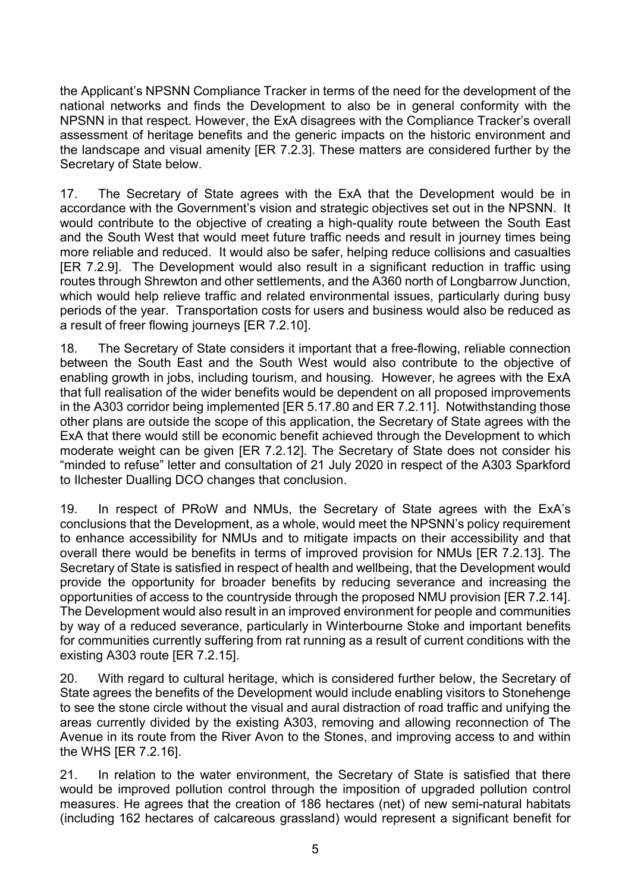the Applicant's NPSNN Compliance Tracker in terms of the need for the development of the national networks and finds the Development to also be in general conformity with the NPSNN in that respect. However, the ExA disagrees with the Compliance Tracker's overall assessment of heritage benefits and the generic impacts on the historic environment and the landscape and visual amenity [ER 7.2.3]. These matters are considered further by the Secretary of State below.

17. The Secretary of State agrees with the ExA that the Development would be in accordance with the Government's vision and strategic objectives set out in the NPSNN. It would contribute to the objective of creating a high-quality route between the South East and the South West that would meet future traffic needs and result in journey times being more reliable and reduced. It would also be safer, helping reduce collisions and casualties [ER 7.2.9]. The Development would also result in a significant reduction in traffic using routes through Shrewton and other settlements, and the A360 north of Longbarrow Junction, which would help relieve traffic and related environmental issues, particularly during busy periods of the year. Transportation costs for users and business would also be reduced as a result of freer flowing journeys [ER 7.2.10].

18. The Secretary of State considers it important that a free-flowing, reliable connection between the South East and the South West would also contribute to the objective of enabling growth in jobs, including tourism, and housing. However, he agrees with the ExA that full realisation of the wider benefits would be dependent on all proposed improvements in the A303 corridor being implemented [ER 5.17.80 and ER 7.2.11]. Notwithstanding those other plans are outside the scope of this application, the Secretary of State agrees with the ExA that there would still be economic benefit achieved through the Development to which moderate weight can be given [ER 7.2.12]. The Secretary of State does not consider his "minded to refuse" letter and consultation of 21 July 2020 in respect of the A303 Sparkford to Ilchester Dualling DCO changes that conclusion.

19. In respect of PRoW and NMUs, the Secretary of State agrees with the ExA's conclusions that the Development, as a whole, would meet the NPSNN's policy requirement to enhance accessibility for NMUs and to mitigate impacts on their accessibility and that overall there would be benefits in terms of improved provision for NMUs [ER 7.2.13]. The Secretary of State is satisfied in respect of health and wellbeing, that the Development would provide the opportunity for broader benefits by reducing severance and increasing the opportunities of access to the countryside through the proposed NMU provision [ER 7.2.14]. The Development would also result in an improved environment for people and communities by way of a reduced severance, particularly in Winterbourne Stoke and important benefits for communities currently suffering from rat running as a result of current conditions with the existing A303 route [ER 7.2.15].

20. With regard to cultural heritage, which is considered further below, the Secretary of State agrees the benefits of the Development would include enabling visitors to Stonehenge to see the stone circle without the visual and aural distraction of road traffic and unifying the areas currently divided by the existing A303, removing and allowing reconnection of The Avenue in its route from the River Avon to the Stones, and improving access to and within the WHS [ER 7.2.16].

21. In relation to the water environment, the Secretary of State is satisfied that there would be improved pollution control through the imposition of upgraded pollution control measures. He agrees that the creation of 186 hectares (net) of new semi-natural habitats (including 162 hectares of calcareous grassland) would represent a significant benefit for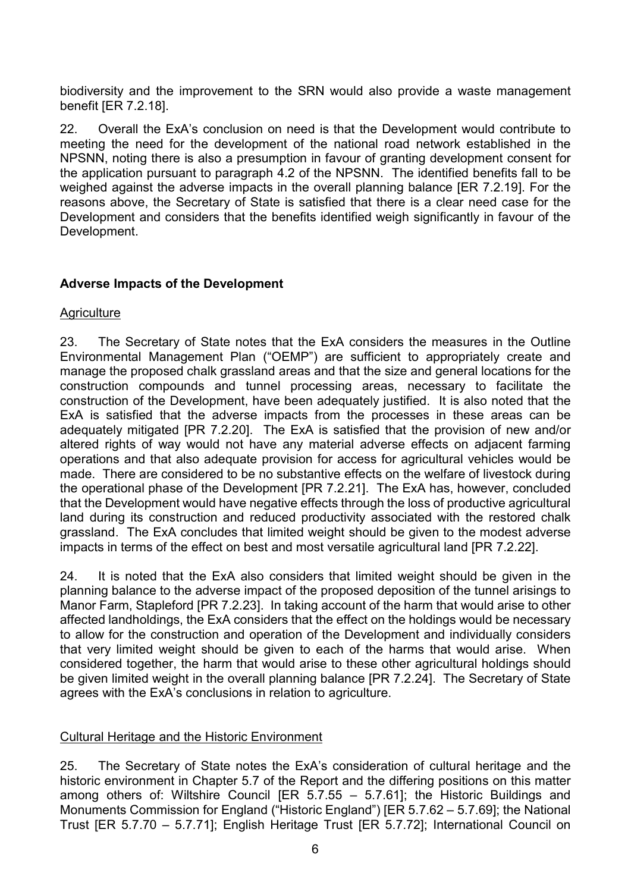biodiversity and the improvement to the SRN would also provide a waste management benefit [ER 7.2.18].

22. Overall the ExA's conclusion on need is that the Development would contribute to meeting the need for the development of the national road network established in the NPSNN, noting there is also a presumption in favour of granting development consent for the application pursuant to paragraph 4.2 of the NPSNN. The identified benefits fall to be weighed against the adverse impacts in the overall planning balance [ER 7.2.19]. For the reasons above, the Secretary of State is satisfied that there is a clear need case for the Development and considers that the benefits identified weigh significantly in favour of the Development.

### Adverse Impacts of the Development

### **Agriculture**

23. The Secretary of State notes that the ExA considers the measures in the Outline Environmental Management Plan ("OEMP") are sufficient to appropriately create and manage the proposed chalk grassland areas and that the size and general locations for the construction compounds and tunnel processing areas, necessary to facilitate the construction of the Development, have been adequately justified. It is also noted that the ExA is satisfied that the adverse impacts from the processes in these areas can be adequately mitigated [PR 7.2.20]. The ExA is satisfied that the provision of new and/or altered rights of way would not have any material adverse effects on adjacent farming operations and that also adequate provision for access for agricultural vehicles would be made. There are considered to be no substantive effects on the welfare of livestock during the operational phase of the Development [PR 7.2.21]. The ExA has, however, concluded that the Development would have negative effects through the loss of productive agricultural land during its construction and reduced productivity associated with the restored chalk grassland. The ExA concludes that limited weight should be given to the modest adverse impacts in terms of the effect on best and most versatile agricultural land [PR 7.2.22].

24. It is noted that the ExA also considers that limited weight should be given in the planning balance to the adverse impact of the proposed deposition of the tunnel arisings to Manor Farm, Stapleford [PR 7.2.23]. In taking account of the harm that would arise to other affected landholdings, the ExA considers that the effect on the holdings would be necessary to allow for the construction and operation of the Development and individually considers that very limited weight should be given to each of the harms that would arise. When considered together, the harm that would arise to these other agricultural holdings should be given limited weight in the overall planning balance [PR 7.2.24]. The Secretary of State agrees with the ExA's conclusions in relation to agriculture.

#### Cultural Heritage and the Historic Environment

25. The Secretary of State notes the ExA's consideration of cultural heritage and the historic environment in Chapter 5.7 of the Report and the differing positions on this matter among others of: Wiltshire Council [ER 5.7.55 – 5.7.61]; the Historic Buildings and Monuments Commission for England ("Historic England") [ER 5.7.62 – 5.7.69]; the National Trust [ER 5.7.70 – 5.7.71]; English Heritage Trust [ER 5.7.72]; International Council on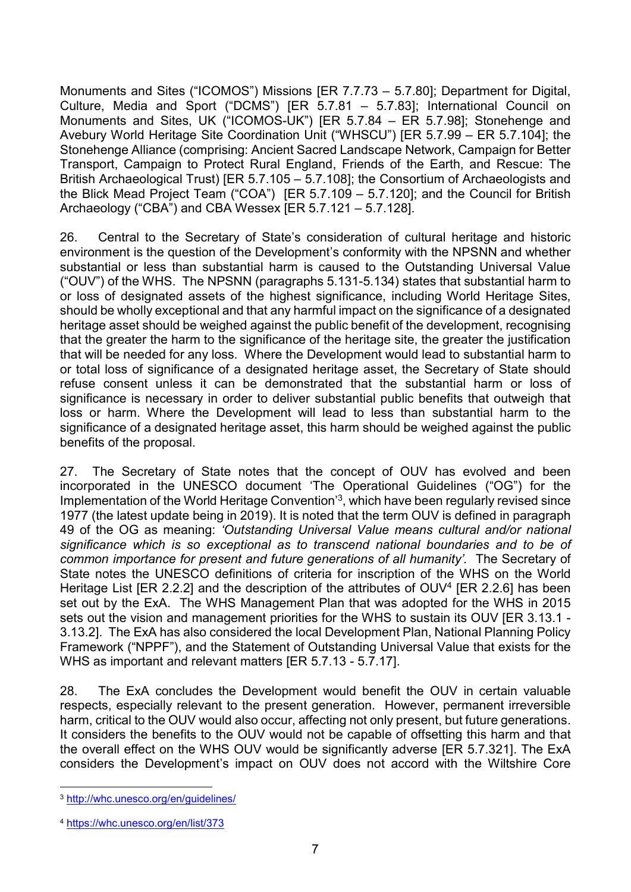Monuments and Sites ("ICOMOS") Missions [ER 7.7.73 – 5.7.80]; Department for Digital, Culture, Media and Sport ("DCMS") [ER 5.7.81 – 5.7.83]; International Council on Monuments and Sites, UK ("ICOMOS-UK") [ER 5.7.84 – ER 5.7.98]; Stonehenge and Avebury World Heritage Site Coordination Unit ("WHSCU") [ER 5.7.99 – ER 5.7.104]; the Stonehenge Alliance (comprising: Ancient Sacred Landscape Network, Campaign for Better Transport, Campaign to Protect Rural England, Friends of the Earth, and Rescue: The British Archaeological Trust) [ER 5.7.105 – 5.7.108]; the Consortium of Archaeologists and the Blick Mead Project Team ("COA") [ER 5.7.109 – 5.7.120]; and the Council for British Archaeology ("CBA") and CBA Wessex [ER 5.7.121 – 5.7.128].

26. Central to the Secretary of State's consideration of cultural heritage and historic environment is the question of the Development's conformity with the NPSNN and whether substantial or less than substantial harm is caused to the Outstanding Universal Value ("OUV") of the WHS. The NPSNN (paragraphs 5.131-5.134) states that substantial harm to or loss of designated assets of the highest significance, including World Heritage Sites, should be wholly exceptional and that any harmful impact on the significance of a designated heritage asset should be weighed against the public benefit of the development, recognising that the greater the harm to the significance of the heritage site, the greater the justification that will be needed for any loss. Where the Development would lead to substantial harm to or total loss of significance of a designated heritage asset, the Secretary of State should refuse consent unless it can be demonstrated that the substantial harm or loss of significance is necessary in order to deliver substantial public benefits that outweigh that loss or harm. Where the Development will lead to less than substantial harm to the significance of a designated heritage asset, this harm should be weighed against the public benefits of the proposal.

27. The Secretary of State notes that the concept of OUV has evolved and been incorporated in the UNESCO document 'The Operational Guidelines ("OG") for the Implementation of the World Heritage Convention<sup>'3</sup>, which have been regularly revised since 1977 (the latest update being in 2019). It is noted that the term OUV is defined in paragraph 49 of the OG as meaning: 'Outstanding Universal Value means cultural and/or national significance which is so exceptional as to transcend national boundaries and to be of common importance for present and future generations of all humanity'. The Secretary of State notes the UNESCO definitions of criteria for inscription of the WHS on the World Heritage List [ER 2.2.2] and the description of the attributes of OUV<sup>4</sup> [ER 2.2.6] has been set out by the ExA. The WHS Management Plan that was adopted for the WHS in 2015 sets out the vision and management priorities for the WHS to sustain its OUV [ER 3.13.1 - 3.13.2]. The ExA has also considered the local Development Plan, National Planning Policy Framework ("NPPF"), and the Statement of Outstanding Universal Value that exists for the WHS as important and relevant matters [ER 5.7.13 - 5.7.17].

28. The ExA concludes the Development would benefit the OUV in certain valuable respects, especially relevant to the present generation. However, permanent irreversible harm, critical to the OUV would also occur, affecting not only present, but future generations. It considers the benefits to the OUV would not be capable of offsetting this harm and that the overall effect on the WHS OUV would be significantly adverse [ER 5.7.321]. The ExA considers the Development's impact on OUV does not accord with the Wiltshire Core

 $\overline{a}$ <sup>3</sup> http://whc.unesco.org/en/guidelines/

<sup>4</sup> https://whc.unesco.org/en/list/373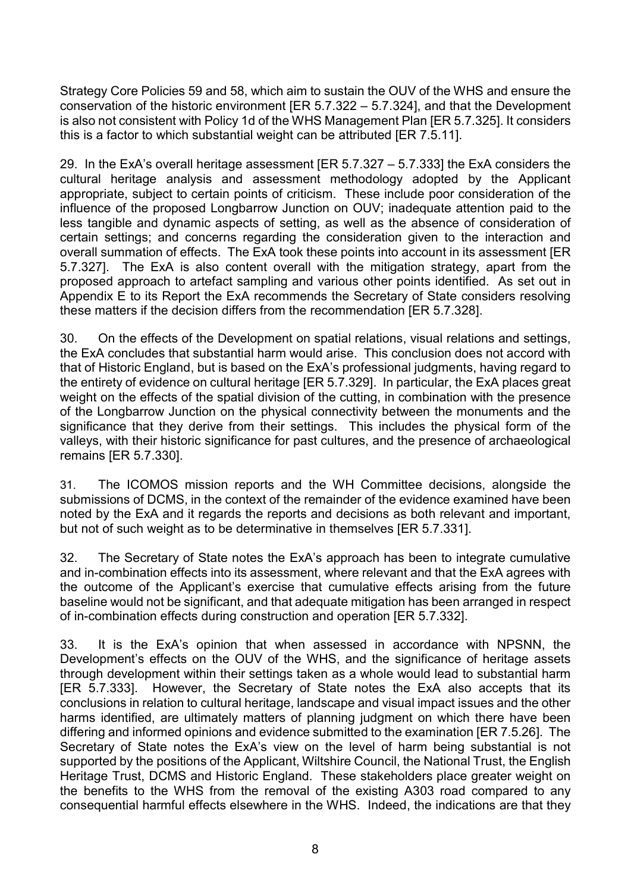Strategy Core Policies 59 and 58, which aim to sustain the OUV of the WHS and ensure the conservation of the historic environment [ER 5.7.322 – 5.7.324], and that the Development is also not consistent with Policy 1d of the WHS Management Plan [ER 5.7.325]. It considers this is a factor to which substantial weight can be attributed [ER 7.5.11].

29. In the ExA's overall heritage assessment [ER 5.7.327 – 5.7.333] the ExA considers the cultural heritage analysis and assessment methodology adopted by the Applicant appropriate, subject to certain points of criticism. These include poor consideration of the influence of the proposed Longbarrow Junction on OUV; inadequate attention paid to the less tangible and dynamic aspects of setting, as well as the absence of consideration of certain settings; and concerns regarding the consideration given to the interaction and overall summation of effects. The ExA took these points into account in its assessment [ER 5.7.327]. The ExA is also content overall with the mitigation strategy, apart from the proposed approach to artefact sampling and various other points identified. As set out in Appendix E to its Report the ExA recommends the Secretary of State considers resolving these matters if the decision differs from the recommendation [ER 5.7.328].

30. On the effects of the Development on spatial relations, visual relations and settings, the ExA concludes that substantial harm would arise. This conclusion does not accord with that of Historic England, but is based on the ExA's professional judgments, having regard to the entirety of evidence on cultural heritage [ER 5.7.329]. In particular, the ExA places great weight on the effects of the spatial division of the cutting, in combination with the presence of the Longbarrow Junction on the physical connectivity between the monuments and the significance that they derive from their settings. This includes the physical form of the valleys, with their historic significance for past cultures, and the presence of archaeological remains [ER 5.7.330].

 31. The ICOMOS mission reports and the WH Committee decisions, alongside the submissions of DCMS, in the context of the remainder of the evidence examined have been noted by the ExA and it regards the reports and decisions as both relevant and important, but not of such weight as to be determinative in themselves [ER 5.7.331].

32. The Secretary of State notes the ExA's approach has been to integrate cumulative and in-combination effects into its assessment, where relevant and that the ExA agrees with the outcome of the Applicant's exercise that cumulative effects arising from the future baseline would not be significant, and that adequate mitigation has been arranged in respect of in-combination effects during construction and operation [ER 5.7.332].

33. It is the ExA's opinion that when assessed in accordance with NPSNN, the Development's effects on the OUV of the WHS, and the significance of heritage assets through development within their settings taken as a whole would lead to substantial harm [ER 5.7.333]. However, the Secretary of State notes the ExA also accepts that its conclusions in relation to cultural heritage, landscape and visual impact issues and the other harms identified, are ultimately matters of planning judgment on which there have been differing and informed opinions and evidence submitted to the examination [ER 7.5.26]. The Secretary of State notes the ExA's view on the level of harm being substantial is not supported by the positions of the Applicant, Wiltshire Council, the National Trust, the English Heritage Trust, DCMS and Historic England. These stakeholders place greater weight on the benefits to the WHS from the removal of the existing A303 road compared to any consequential harmful effects elsewhere in the WHS. Indeed, the indications are that they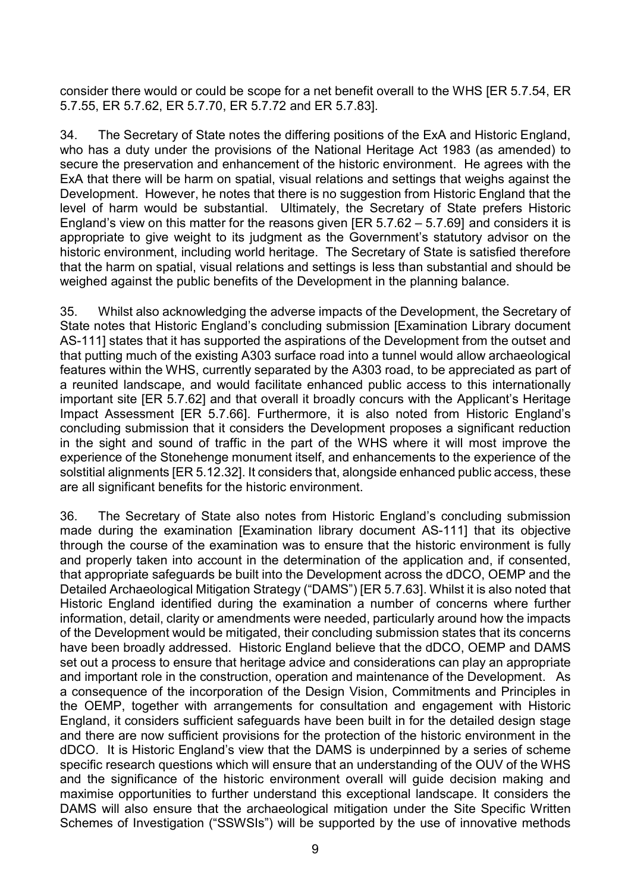consider there would or could be scope for a net benefit overall to the WHS [ER 5.7.54, ER 5.7.55, ER 5.7.62, ER 5.7.70, ER 5.7.72 and ER 5.7.83].

34. The Secretary of State notes the differing positions of the ExA and Historic England, who has a duty under the provisions of the National Heritage Act 1983 (as amended) to secure the preservation and enhancement of the historic environment. He agrees with the ExA that there will be harm on spatial, visual relations and settings that weighs against the Development. However, he notes that there is no suggestion from Historic England that the level of harm would be substantial. Ultimately, the Secretary of State prefers Historic England's view on this matter for the reasons given [ER 5.7.62 – 5.7.69] and considers it is appropriate to give weight to its judgment as the Government's statutory advisor on the historic environment, including world heritage. The Secretary of State is satisfied therefore that the harm on spatial, visual relations and settings is less than substantial and should be weighed against the public benefits of the Development in the planning balance.

35. Whilst also acknowledging the adverse impacts of the Development, the Secretary of State notes that Historic England's concluding submission [Examination Library document AS-111] states that it has supported the aspirations of the Development from the outset and that putting much of the existing A303 surface road into a tunnel would allow archaeological features within the WHS, currently separated by the A303 road, to be appreciated as part of a reunited landscape, and would facilitate enhanced public access to this internationally important site [ER 5.7.62] and that overall it broadly concurs with the Applicant's Heritage Impact Assessment [ER 5.7.66]. Furthermore, it is also noted from Historic England's concluding submission that it considers the Development proposes a significant reduction in the sight and sound of traffic in the part of the WHS where it will most improve the experience of the Stonehenge monument itself, and enhancements to the experience of the solstitial alignments [ER 5.12.32]. It considers that, alongside enhanced public access, these are all significant benefits for the historic environment.

36. The Secretary of State also notes from Historic England's concluding submission made during the examination [Examination library document AS-111] that its objective through the course of the examination was to ensure that the historic environment is fully and properly taken into account in the determination of the application and, if consented, that appropriate safeguards be built into the Development across the dDCO, OEMP and the Detailed Archaeological Mitigation Strategy ("DAMS") [ER 5.7.63]. Whilst it is also noted that Historic England identified during the examination a number of concerns where further information, detail, clarity or amendments were needed, particularly around how the impacts of the Development would be mitigated, their concluding submission states that its concerns have been broadly addressed. Historic England believe that the dDCO, OEMP and DAMS set out a process to ensure that heritage advice and considerations can play an appropriate and important role in the construction, operation and maintenance of the Development. As a consequence of the incorporation of the Design Vision, Commitments and Principles in the OEMP, together with arrangements for consultation and engagement with Historic England, it considers sufficient safeguards have been built in for the detailed design stage and there are now sufficient provisions for the protection of the historic environment in the dDCO. It is Historic England's view that the DAMS is underpinned by a series of scheme specific research questions which will ensure that an understanding of the OUV of the WHS and the significance of the historic environment overall will guide decision making and maximise opportunities to further understand this exceptional landscape. It considers the DAMS will also ensure that the archaeological mitigation under the Site Specific Written Schemes of Investigation ("SSWSIs") will be supported by the use of innovative methods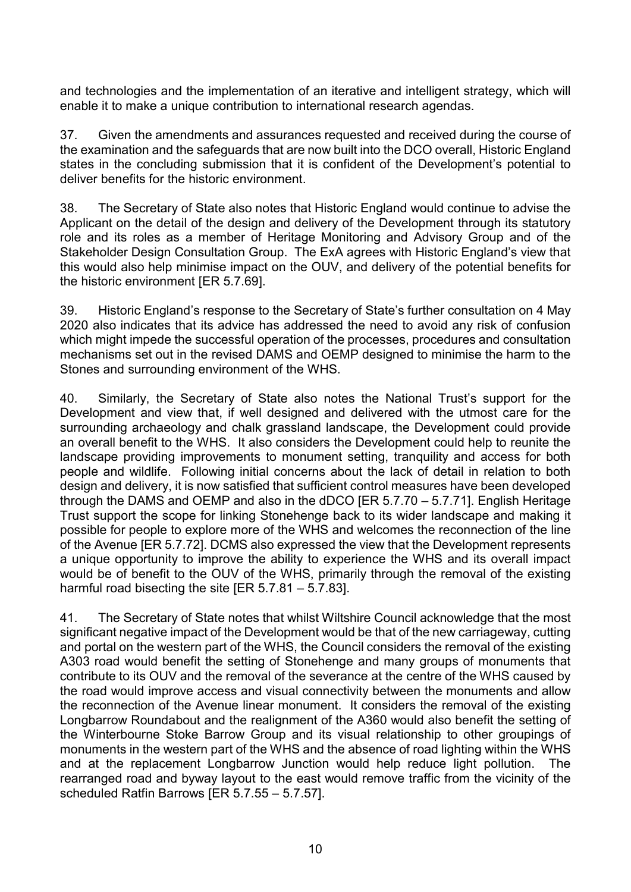and technologies and the implementation of an iterative and intelligent strategy, which will enable it to make a unique contribution to international research agendas.

37. Given the amendments and assurances requested and received during the course of the examination and the safeguards that are now built into the DCO overall, Historic England states in the concluding submission that it is confident of the Development's potential to deliver benefits for the historic environment.

38. The Secretary of State also notes that Historic England would continue to advise the Applicant on the detail of the design and delivery of the Development through its statutory role and its roles as a member of Heritage Monitoring and Advisory Group and of the Stakeholder Design Consultation Group. The ExA agrees with Historic England's view that this would also help minimise impact on the OUV, and delivery of the potential benefits for the historic environment [ER 5.7.69].

39. Historic England's response to the Secretary of State's further consultation on 4 May 2020 also indicates that its advice has addressed the need to avoid any risk of confusion which might impede the successful operation of the processes, procedures and consultation mechanisms set out in the revised DAMS and OEMP designed to minimise the harm to the Stones and surrounding environment of the WHS.

40. Similarly, the Secretary of State also notes the National Trust's support for the Development and view that, if well designed and delivered with the utmost care for the surrounding archaeology and chalk grassland landscape, the Development could provide an overall benefit to the WHS. It also considers the Development could help to reunite the landscape providing improvements to monument setting, tranquility and access for both people and wildlife. Following initial concerns about the lack of detail in relation to both design and delivery, it is now satisfied that sufficient control measures have been developed through the DAMS and OEMP and also in the dDCO [ER 5.7.70 – 5.7.71]. English Heritage Trust support the scope for linking Stonehenge back to its wider landscape and making it possible for people to explore more of the WHS and welcomes the reconnection of the line of the Avenue [ER 5.7.72]. DCMS also expressed the view that the Development represents a unique opportunity to improve the ability to experience the WHS and its overall impact would be of benefit to the OUV of the WHS, primarily through the removal of the existing harmful road bisecting the site [ER 5.7.81 – 5.7.83].

41. The Secretary of State notes that whilst Wiltshire Council acknowledge that the most significant negative impact of the Development would be that of the new carriageway, cutting and portal on the western part of the WHS, the Council considers the removal of the existing A303 road would benefit the setting of Stonehenge and many groups of monuments that contribute to its OUV and the removal of the severance at the centre of the WHS caused by the road would improve access and visual connectivity between the monuments and allow the reconnection of the Avenue linear monument. It considers the removal of the existing Longbarrow Roundabout and the realignment of the A360 would also benefit the setting of the Winterbourne Stoke Barrow Group and its visual relationship to other groupings of monuments in the western part of the WHS and the absence of road lighting within the WHS and at the replacement Longbarrow Junction would help reduce light pollution. The rearranged road and byway layout to the east would remove traffic from the vicinity of the scheduled Ratfin Barrows [ER 5.7.55 – 5.7.57].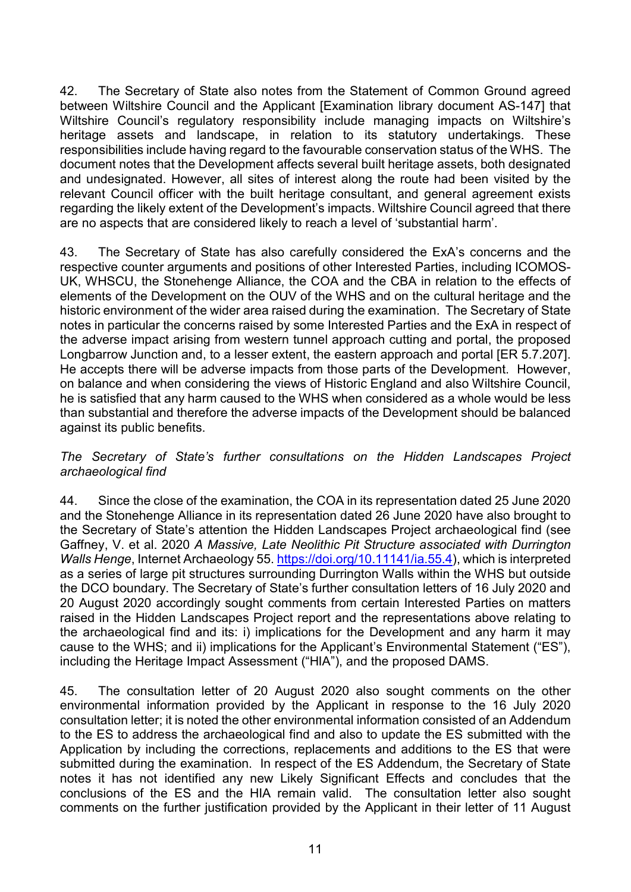42. The Secretary of State also notes from the Statement of Common Ground agreed between Wiltshire Council and the Applicant [Examination library document AS-147] that Wiltshire Council's regulatory responsibility include managing impacts on Wiltshire's heritage assets and landscape, in relation to its statutory undertakings. These responsibilities include having regard to the favourable conservation status of the WHS. The document notes that the Development affects several built heritage assets, both designated and undesignated. However, all sites of interest along the route had been visited by the relevant Council officer with the built heritage consultant, and general agreement exists regarding the likely extent of the Development's impacts. Wiltshire Council agreed that there are no aspects that are considered likely to reach a level of 'substantial harm'.

43. The Secretary of State has also carefully considered the ExA's concerns and the respective counter arguments and positions of other Interested Parties, including ICOMOS-UK, WHSCU, the Stonehenge Alliance, the COA and the CBA in relation to the effects of elements of the Development on the OUV of the WHS and on the cultural heritage and the historic environment of the wider area raised during the examination. The Secretary of State notes in particular the concerns raised by some Interested Parties and the ExA in respect of the adverse impact arising from western tunnel approach cutting and portal, the proposed Longbarrow Junction and, to a lesser extent, the eastern approach and portal [ER 5.7.207]. He accepts there will be adverse impacts from those parts of the Development. However, on balance and when considering the views of Historic England and also Wiltshire Council, he is satisfied that any harm caused to the WHS when considered as a whole would be less than substantial and therefore the adverse impacts of the Development should be balanced against its public benefits.

#### The Secretary of State's further consultations on the Hidden Landscapes Project archaeological find

44. Since the close of the examination, the COA in its representation dated 25 June 2020 and the Stonehenge Alliance in its representation dated 26 June 2020 have also brought to the Secretary of State's attention the Hidden Landscapes Project archaeological find (see Gaffney, V. et al. 2020 A Massive, Late Neolithic Pit Structure associated with Durrington Walls Henge, Internet Archaeology 55. https://doi.org/10.11141/ia.55.4), which is interpreted as a series of large pit structures surrounding Durrington Walls within the WHS but outside the DCO boundary. The Secretary of State's further consultation letters of 16 July 2020 and 20 August 2020 accordingly sought comments from certain Interested Parties on matters raised in the Hidden Landscapes Project report and the representations above relating to the archaeological find and its: i) implications for the Development and any harm it may cause to the WHS; and ii) implications for the Applicant's Environmental Statement ("ES"), including the Heritage Impact Assessment ("HIA"), and the proposed DAMS.

45. The consultation letter of 20 August 2020 also sought comments on the other environmental information provided by the Applicant in response to the 16 July 2020 consultation letter; it is noted the other environmental information consisted of an Addendum to the ES to address the archaeological find and also to update the ES submitted with the Application by including the corrections, replacements and additions to the ES that were submitted during the examination. In respect of the ES Addendum, the Secretary of State notes it has not identified any new Likely Significant Effects and concludes that the conclusions of the ES and the HIA remain valid. The consultation letter also sought comments on the further justification provided by the Applicant in their letter of 11 August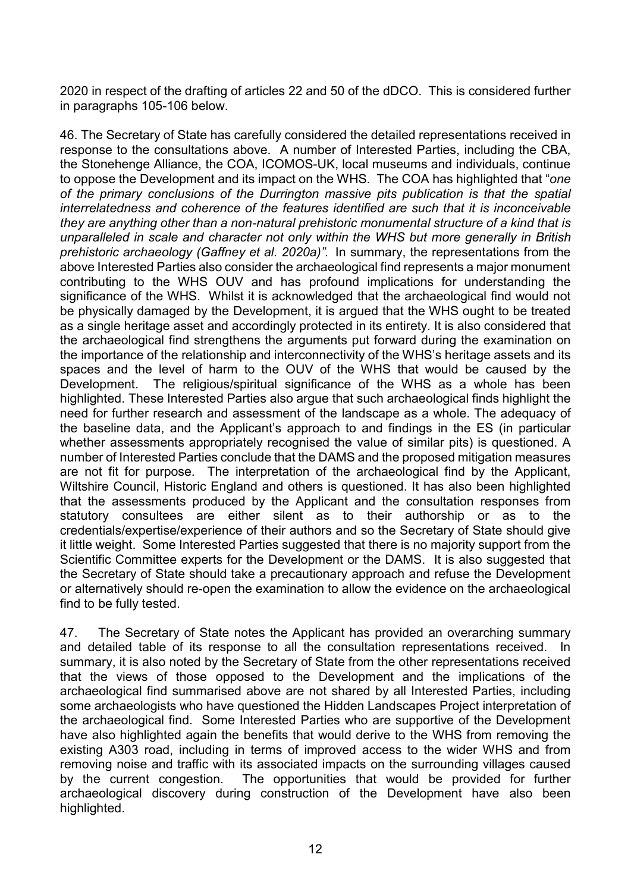2020 in respect of the drafting of articles 22 and 50 of the dDCO. This is considered further in paragraphs 105-106 below.

46. The Secretary of State has carefully considered the detailed representations received in response to the consultations above. A number of Interested Parties, including the CBA, the Stonehenge Alliance, the COA, ICOMOS-UK, local museums and individuals, continue to oppose the Development and its impact on the WHS. The COA has highlighted that "one of the primary conclusions of the Durrington massive pits publication is that the spatial interrelatedness and coherence of the features identified are such that it is inconceivable they are anything other than a non-natural prehistoric monumental structure of a kind that is unparalleled in scale and character not only within the WHS but more generally in British prehistoric archaeology (Gaffney et al. 2020a)". In summary, the representations from the above Interested Parties also consider the archaeological find represents a major monument contributing to the WHS OUV and has profound implications for understanding the significance of the WHS. Whilst it is acknowledged that the archaeological find would not be physically damaged by the Development, it is argued that the WHS ought to be treated as a single heritage asset and accordingly protected in its entirety. It is also considered that the archaeological find strengthens the arguments put forward during the examination on the importance of the relationship and interconnectivity of the WHS's heritage assets and its spaces and the level of harm to the OUV of the WHS that would be caused by the Development. The religious/spiritual significance of the WHS as a whole has been highlighted. These Interested Parties also argue that such archaeological finds highlight the need for further research and assessment of the landscape as a whole. The adequacy of the baseline data, and the Applicant's approach to and findings in the ES (in particular whether assessments appropriately recognised the value of similar pits) is questioned. A number of Interested Parties conclude that the DAMS and the proposed mitigation measures are not fit for purpose. The interpretation of the archaeological find by the Applicant, Wiltshire Council, Historic England and others is questioned. It has also been highlighted that the assessments produced by the Applicant and the consultation responses from statutory consultees are either silent as to their authorship or as to the credentials/expertise/experience of their authors and so the Secretary of State should give it little weight. Some Interested Parties suggested that there is no majority support from the Scientific Committee experts for the Development or the DAMS. It is also suggested that the Secretary of State should take a precautionary approach and refuse the Development or alternatively should re-open the examination to allow the evidence on the archaeological find to be fully tested.

47. The Secretary of State notes the Applicant has provided an overarching summary and detailed table of its response to all the consultation representations received. In summary, it is also noted by the Secretary of State from the other representations received that the views of those opposed to the Development and the implications of the archaeological find summarised above are not shared by all Interested Parties, including some archaeologists who have questioned the Hidden Landscapes Project interpretation of the archaeological find. Some Interested Parties who are supportive of the Development have also highlighted again the benefits that would derive to the WHS from removing the existing A303 road, including in terms of improved access to the wider WHS and from removing noise and traffic with its associated impacts on the surrounding villages caused by the current congestion. The opportunities that would be provided for further archaeological discovery during construction of the Development have also been highlighted.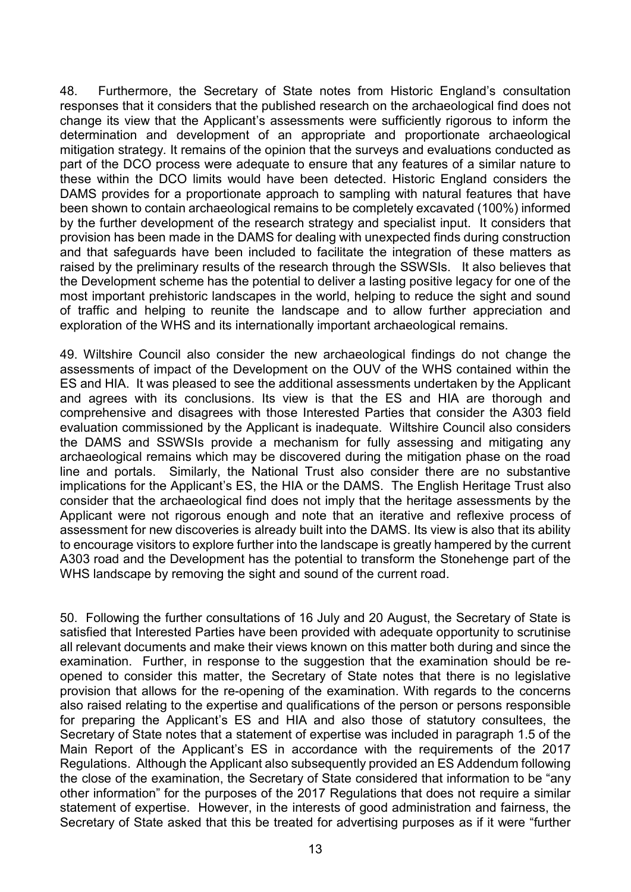48. Furthermore, the Secretary of State notes from Historic England's consultation responses that it considers that the published research on the archaeological find does not change its view that the Applicant's assessments were sufficiently rigorous to inform the determination and development of an appropriate and proportionate archaeological mitigation strategy. It remains of the opinion that the surveys and evaluations conducted as part of the DCO process were adequate to ensure that any features of a similar nature to these within the DCO limits would have been detected. Historic England considers the DAMS provides for a proportionate approach to sampling with natural features that have been shown to contain archaeological remains to be completely excavated (100%) informed by the further development of the research strategy and specialist input. It considers that provision has been made in the DAMS for dealing with unexpected finds during construction and that safeguards have been included to facilitate the integration of these matters as raised by the preliminary results of the research through the SSWSIs. It also believes that the Development scheme has the potential to deliver a lasting positive legacy for one of the most important prehistoric landscapes in the world, helping to reduce the sight and sound of traffic and helping to reunite the landscape and to allow further appreciation and exploration of the WHS and its internationally important archaeological remains.

49. Wiltshire Council also consider the new archaeological findings do not change the assessments of impact of the Development on the OUV of the WHS contained within the ES and HIA. It was pleased to see the additional assessments undertaken by the Applicant and agrees with its conclusions. Its view is that the ES and HIA are thorough and comprehensive and disagrees with those Interested Parties that consider the A303 field evaluation commissioned by the Applicant is inadequate. Wiltshire Council also considers the DAMS and SSWSIs provide a mechanism for fully assessing and mitigating any archaeological remains which may be discovered during the mitigation phase on the road line and portals. Similarly, the National Trust also consider there are no substantive implications for the Applicant's ES, the HIA or the DAMS. The English Heritage Trust also consider that the archaeological find does not imply that the heritage assessments by the Applicant were not rigorous enough and note that an iterative and reflexive process of assessment for new discoveries is already built into the DAMS. Its view is also that its ability to encourage visitors to explore further into the landscape is greatly hampered by the current A303 road and the Development has the potential to transform the Stonehenge part of the WHS landscape by removing the sight and sound of the current road.

50. Following the further consultations of 16 July and 20 August, the Secretary of State is satisfied that Interested Parties have been provided with adequate opportunity to scrutinise all relevant documents and make their views known on this matter both during and since the examination. Further, in response to the suggestion that the examination should be reopened to consider this matter, the Secretary of State notes that there is no legislative provision that allows for the re-opening of the examination. With regards to the concerns also raised relating to the expertise and qualifications of the person or persons responsible for preparing the Applicant's ES and HIA and also those of statutory consultees, the Secretary of State notes that a statement of expertise was included in paragraph 1.5 of the Main Report of the Applicant's ES in accordance with the requirements of the 2017 Regulations. Although the Applicant also subsequently provided an ES Addendum following the close of the examination, the Secretary of State considered that information to be "any other information" for the purposes of the 2017 Regulations that does not require a similar statement of expertise. However, in the interests of good administration and fairness, the Secretary of State asked that this be treated for advertising purposes as if it were "further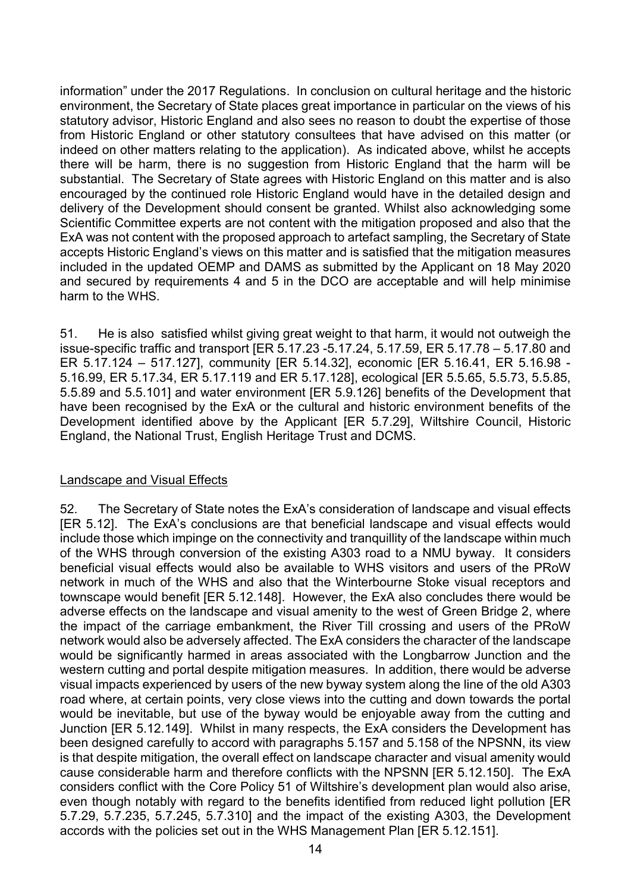information" under the 2017 Regulations. In conclusion on cultural heritage and the historic environment, the Secretary of State places great importance in particular on the views of his statutory advisor, Historic England and also sees no reason to doubt the expertise of those from Historic England or other statutory consultees that have advised on this matter (or indeed on other matters relating to the application). As indicated above, whilst he accepts there will be harm, there is no suggestion from Historic England that the harm will be substantial. The Secretary of State agrees with Historic England on this matter and is also encouraged by the continued role Historic England would have in the detailed design and delivery of the Development should consent be granted. Whilst also acknowledging some Scientific Committee experts are not content with the mitigation proposed and also that the ExA was not content with the proposed approach to artefact sampling, the Secretary of State accepts Historic England's views on this matter and is satisfied that the mitigation measures included in the updated OEMP and DAMS as submitted by the Applicant on 18 May 2020 and secured by requirements 4 and 5 in the DCO are acceptable and will help minimise harm to the WHS.

51. He is also satisfied whilst giving great weight to that harm, it would not outweigh the issue-specific traffic and transport [ER 5.17.23 -5.17.24, 5.17.59, ER 5.17.78 – 5.17.80 and ER 5.17.124 – 517.127], community [ER 5.14.32], economic [ER 5.16.41, ER 5.16.98 - 5.16.99, ER 5.17.34, ER 5.17.119 and ER 5.17.128], ecological [ER 5.5.65, 5.5.73, 5.5.85, 5.5.89 and 5.5.101] and water environment [ER 5.9.126] benefits of the Development that have been recognised by the ExA or the cultural and historic environment benefits of the Development identified above by the Applicant [ER 5.7.29], Wiltshire Council, Historic England, the National Trust, English Heritage Trust and DCMS.

## Landscape and Visual Effects

52. The Secretary of State notes the ExA's consideration of landscape and visual effects [ER 5.12]. The ExA's conclusions are that beneficial landscape and visual effects would include those which impinge on the connectivity and tranquillity of the landscape within much of the WHS through conversion of the existing A303 road to a NMU byway. It considers beneficial visual effects would also be available to WHS visitors and users of the PRoW network in much of the WHS and also that the Winterbourne Stoke visual receptors and townscape would benefit [ER 5.12.148]. However, the ExA also concludes there would be adverse effects on the landscape and visual amenity to the west of Green Bridge 2, where the impact of the carriage embankment, the River Till crossing and users of the PRoW network would also be adversely affected. The ExA considers the character of the landscape would be significantly harmed in areas associated with the Longbarrow Junction and the western cutting and portal despite mitigation measures. In addition, there would be adverse visual impacts experienced by users of the new byway system along the line of the old A303 road where, at certain points, very close views into the cutting and down towards the portal would be inevitable, but use of the byway would be enjoyable away from the cutting and Junction [ER 5.12.149]. Whilst in many respects, the ExA considers the Development has been designed carefully to accord with paragraphs 5.157 and 5.158 of the NPSNN, its view is that despite mitigation, the overall effect on landscape character and visual amenity would cause considerable harm and therefore conflicts with the NPSNN [ER 5.12.150]. The ExA considers conflict with the Core Policy 51 of Wiltshire's development plan would also arise, even though notably with regard to the benefits identified from reduced light pollution [ER 5.7.29, 5.7.235, 5.7.245, 5.7.310] and the impact of the existing A303, the Development accords with the policies set out in the WHS Management Plan [ER 5.12.151].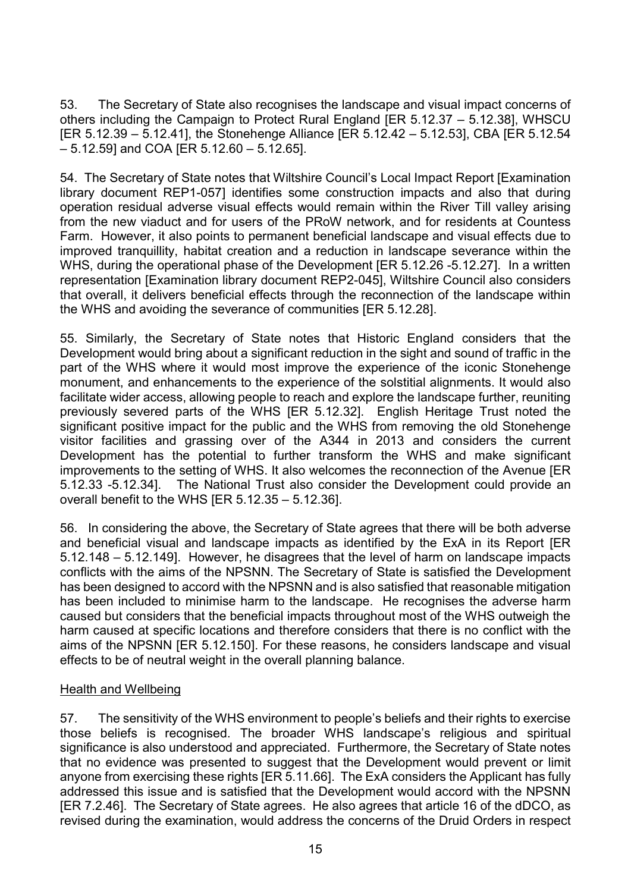53. The Secretary of State also recognises the landscape and visual impact concerns of others including the Campaign to Protect Rural England [ER 5.12.37 – 5.12.38], WHSCU  $IER 5.12.39 - 5.12.41$ . the Stonehenge Alliance  $IER 5.12.42 - 5.12.53$ . CBA  $IER 5.12.54$  $-5.12.59$ ] and COA [ER  $5.12.60 - 5.12.65$ ].

54. The Secretary of State notes that Wiltshire Council's Local Impact Report [Examination library document REP1-057] identifies some construction impacts and also that during operation residual adverse visual effects would remain within the River Till valley arising from the new viaduct and for users of the PRoW network, and for residents at Countess Farm. However, it also points to permanent beneficial landscape and visual effects due to improved tranquillity, habitat creation and a reduction in landscape severance within the WHS, during the operational phase of the Development [ER 5.12.26 -5.12.27]. In a written representation [Examination library document REP2-045], Wiltshire Council also considers that overall, it delivers beneficial effects through the reconnection of the landscape within the WHS and avoiding the severance of communities [ER 5.12.28].

55. Similarly, the Secretary of State notes that Historic England considers that the Development would bring about a significant reduction in the sight and sound of traffic in the part of the WHS where it would most improve the experience of the iconic Stonehenge monument, and enhancements to the experience of the solstitial alignments. It would also facilitate wider access, allowing people to reach and explore the landscape further, reuniting previously severed parts of the WHS [ER 5.12.32]. English Heritage Trust noted the significant positive impact for the public and the WHS from removing the old Stonehenge visitor facilities and grassing over of the A344 in 2013 and considers the current Development has the potential to further transform the WHS and make significant improvements to the setting of WHS. It also welcomes the reconnection of the Avenue [ER 5.12.33 -5.12.34]. The National Trust also consider the Development could provide an overall benefit to the WHS [ER 5.12.35 – 5.12.36].

56. In considering the above, the Secretary of State agrees that there will be both adverse and beneficial visual and landscape impacts as identified by the ExA in its Report [ER 5.12.148 – 5.12.149]. However, he disagrees that the level of harm on landscape impacts conflicts with the aims of the NPSNN. The Secretary of State is satisfied the Development has been designed to accord with the NPSNN and is also satisfied that reasonable mitigation has been included to minimise harm to the landscape. He recognises the adverse harm caused but considers that the beneficial impacts throughout most of the WHS outweigh the harm caused at specific locations and therefore considers that there is no conflict with the aims of the NPSNN [ER 5.12.150]. For these reasons, he considers landscape and visual effects to be of neutral weight in the overall planning balance.

## Health and Wellbeing

57. The sensitivity of the WHS environment to people's beliefs and their rights to exercise those beliefs is recognised. The broader WHS landscape's religious and spiritual significance is also understood and appreciated. Furthermore, the Secretary of State notes that no evidence was presented to suggest that the Development would prevent or limit anyone from exercising these rights [ER 5.11.66]. The ExA considers the Applicant has fully addressed this issue and is satisfied that the Development would accord with the NPSNN [ER 7.2.46]. The Secretary of State agrees. He also agrees that article 16 of the dDCO, as revised during the examination, would address the concerns of the Druid Orders in respect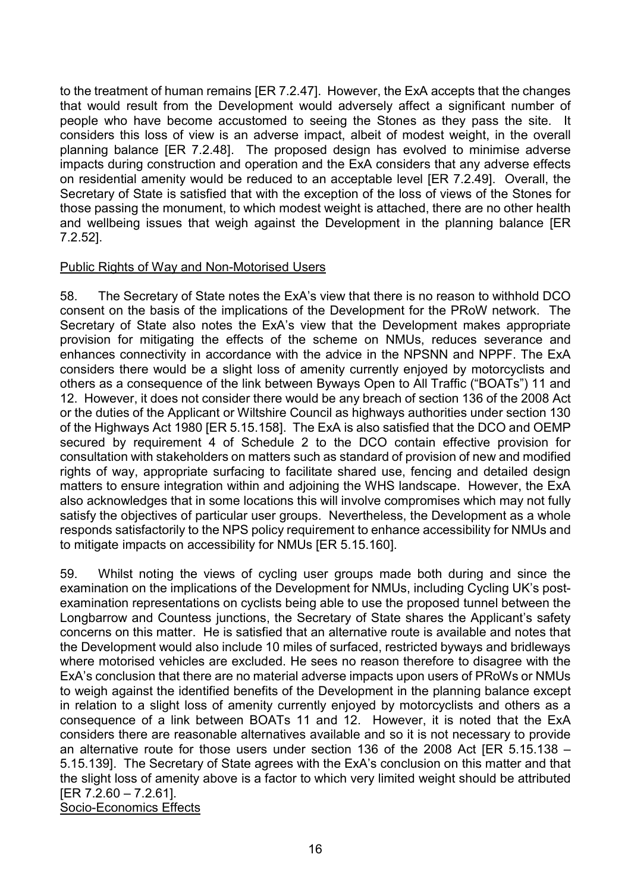to the treatment of human remains [ER 7.2.47]. However, the ExA accepts that the changes that would result from the Development would adversely affect a significant number of people who have become accustomed to seeing the Stones as they pass the site. It considers this loss of view is an adverse impact, albeit of modest weight, in the overall planning balance [ER 7.2.48]. The proposed design has evolved to minimise adverse impacts during construction and operation and the ExA considers that any adverse effects on residential amenity would be reduced to an acceptable level [ER 7.2.49]. Overall, the Secretary of State is satisfied that with the exception of the loss of views of the Stones for those passing the monument, to which modest weight is attached, there are no other health and wellbeing issues that weigh against the Development in the planning balance [ER 7.2.52].

#### Public Rights of Way and Non-Motorised Users

58. The Secretary of State notes the ExA's view that there is no reason to withhold DCO consent on the basis of the implications of the Development for the PRoW network. The Secretary of State also notes the ExA's view that the Development makes appropriate provision for mitigating the effects of the scheme on NMUs, reduces severance and enhances connectivity in accordance with the advice in the NPSNN and NPPF. The ExA considers there would be a slight loss of amenity currently enjoyed by motorcyclists and others as a consequence of the link between Byways Open to All Traffic ("BOATs") 11 and 12. However, it does not consider there would be any breach of section 136 of the 2008 Act or the duties of the Applicant or Wiltshire Council as highways authorities under section 130 of the Highways Act 1980 [ER 5.15.158]. The ExA is also satisfied that the DCO and OEMP secured by requirement 4 of Schedule 2 to the DCO contain effective provision for consultation with stakeholders on matters such as standard of provision of new and modified rights of way, appropriate surfacing to facilitate shared use, fencing and detailed design matters to ensure integration within and adjoining the WHS landscape. However, the ExA also acknowledges that in some locations this will involve compromises which may not fully satisfy the objectives of particular user groups. Nevertheless, the Development as a whole responds satisfactorily to the NPS policy requirement to enhance accessibility for NMUs and to mitigate impacts on accessibility for NMUs [ER 5.15.160].

59. Whilst noting the views of cycling user groups made both during and since the examination on the implications of the Development for NMUs, including Cycling UK's postexamination representations on cyclists being able to use the proposed tunnel between the Longbarrow and Countess junctions, the Secretary of State shares the Applicant's safety concerns on this matter. He is satisfied that an alternative route is available and notes that the Development would also include 10 miles of surfaced, restricted byways and bridleways where motorised vehicles are excluded. He sees no reason therefore to disagree with the ExA's conclusion that there are no material adverse impacts upon users of PRoWs or NMUs to weigh against the identified benefits of the Development in the planning balance except in relation to a slight loss of amenity currently enjoyed by motorcyclists and others as a consequence of a link between BOATs 11 and 12. However, it is noted that the ExA considers there are reasonable alternatives available and so it is not necessary to provide an alternative route for those users under section 136 of the 2008 Act IER  $5.15.138 -$ 5.15.139]. The Secretary of State agrees with the ExA's conclusion on this matter and that the slight loss of amenity above is a factor to which very limited weight should be attributed [ER 7.2.60 – 7.2.61]. Socio-Economics Effects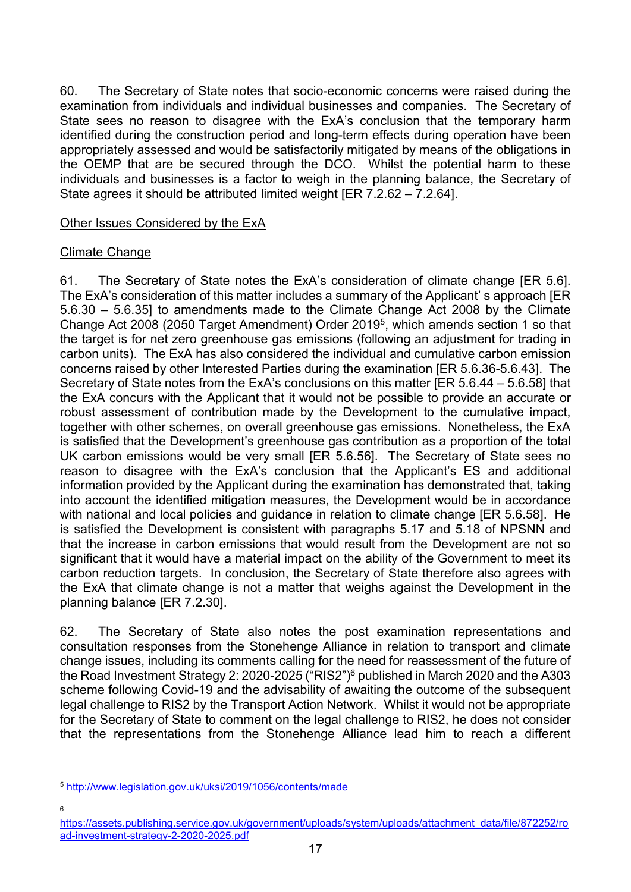60. The Secretary of State notes that socio-economic concerns were raised during the examination from individuals and individual businesses and companies. The Secretary of State sees no reason to disagree with the ExA's conclusion that the temporary harm identified during the construction period and long-term effects during operation have been appropriately assessed and would be satisfactorily mitigated by means of the obligations in the OEMP that are be secured through the DCO. Whilst the potential harm to these individuals and businesses is a factor to weigh in the planning balance, the Secretary of State agrees it should be attributed limited weight [ER 7.2.62 – 7.2.64].

### Other Issues Considered by the ExA

## Climate Change

61. The Secretary of State notes the ExA's consideration of climate change [ER 5.6]. The ExA's consideration of this matter includes a summary of the Applicant' s approach [ER 5.6.30 – 5.6.35] to amendments made to the Climate Change Act 2008 by the Climate Change Act 2008 (2050 Target Amendment) Order 2019<sup>5</sup>, which amends section 1 so that the target is for net zero greenhouse gas emissions (following an adjustment for trading in carbon units). The ExA has also considered the individual and cumulative carbon emission concerns raised by other Interested Parties during the examination [ER 5.6.36-5.6.43]. The Secretary of State notes from the ExA's conclusions on this matter [ER 5.6.44 – 5.6.58] that the ExA concurs with the Applicant that it would not be possible to provide an accurate or robust assessment of contribution made by the Development to the cumulative impact, together with other schemes, on overall greenhouse gas emissions. Nonetheless, the ExA is satisfied that the Development's greenhouse gas contribution as a proportion of the total UK carbon emissions would be very small [ER 5.6.56]. The Secretary of State sees no reason to disagree with the ExA's conclusion that the Applicant's ES and additional information provided by the Applicant during the examination has demonstrated that, taking into account the identified mitigation measures, the Development would be in accordance with national and local policies and guidance in relation to climate change [ER 5.6.58]. He is satisfied the Development is consistent with paragraphs 5.17 and 5.18 of NPSNN and that the increase in carbon emissions that would result from the Development are not so significant that it would have a material impact on the ability of the Government to meet its carbon reduction targets. In conclusion, the Secretary of State therefore also agrees with the ExA that climate change is not a matter that weighs against the Development in the planning balance [ER 7.2.30].

62. The Secretary of State also notes the post examination representations and consultation responses from the Stonehenge Alliance in relation to transport and climate change issues, including its comments calling for the need for reassessment of the future of the Road Investment Strategy 2: 2020-2025 ("RIS2")<sup>6</sup> published in March 2020 and the A303 scheme following Covid-19 and the advisability of awaiting the outcome of the subsequent legal challenge to RIS2 by the Transport Action Network. Whilst it would not be appropriate for the Secretary of State to comment on the legal challenge to RIS2, he does not consider that the representations from the Stonehenge Alliance lead him to reach a different

6

 $\overline{a}$ <sup>5</sup> http://www.legislation.gov.uk/uksi/2019/1056/contents/made

https://assets.publishing.service.gov.uk/government/uploads/system/uploads/attachment\_data/file/872252/ro ad-investment-strategy-2-2020-2025.pdf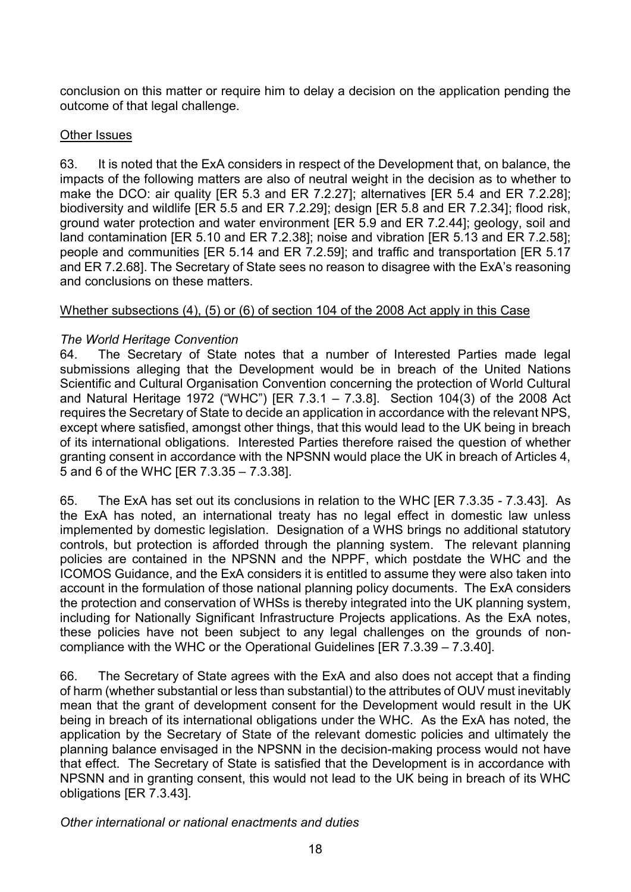conclusion on this matter or require him to delay a decision on the application pending the outcome of that legal challenge.

### Other Issues

63. It is noted that the ExA considers in respect of the Development that, on balance, the impacts of the following matters are also of neutral weight in the decision as to whether to make the DCO: air quality [ER 5.3 and ER 7.2.27]; alternatives [ER 5.4 and ER 7.2.28]; biodiversity and wildlife [ER 5.5 and ER 7.2.29]; design [ER 5.8 and ER 7.2.34]; flood risk, ground water protection and water environment [ER 5.9 and ER 7.2.44]; geology, soil and land contamination [ER 5.10 and ER 7.2.38]; noise and vibration [ER 5.13 and ER 7.2.58]; people and communities [ER 5.14 and ER 7.2.59]; and traffic and transportation [ER 5.17 and ER 7.2.68]. The Secretary of State sees no reason to disagree with the ExA's reasoning and conclusions on these matters.

## Whether subsections (4), (5) or (6) of section 104 of the 2008 Act apply in this Case

## The World Heritage Convention

64. The Secretary of State notes that a number of Interested Parties made legal submissions alleging that the Development would be in breach of the United Nations Scientific and Cultural Organisation Convention concerning the protection of World Cultural and Natural Heritage 1972 ("WHC") [ER 7.3.1 – 7.3.8]. Section 104(3) of the 2008 Act requires the Secretary of State to decide an application in accordance with the relevant NPS, except where satisfied, amongst other things, that this would lead to the UK being in breach of its international obligations. Interested Parties therefore raised the question of whether granting consent in accordance with the NPSNN would place the UK in breach of Articles 4, 5 and 6 of the WHC [ER 7.3.35 – 7.3.38].

65. The ExA has set out its conclusions in relation to the WHC [ER 7.3.35 - 7.3.43]. As the ExA has noted, an international treaty has no legal effect in domestic law unless implemented by domestic legislation. Designation of a WHS brings no additional statutory controls, but protection is afforded through the planning system. The relevant planning policies are contained in the NPSNN and the NPPF, which postdate the WHC and the ICOMOS Guidance, and the ExA considers it is entitled to assume they were also taken into account in the formulation of those national planning policy documents. The ExA considers the protection and conservation of WHSs is thereby integrated into the UK planning system, including for Nationally Significant Infrastructure Projects applications. As the ExA notes, these policies have not been subject to any legal challenges on the grounds of noncompliance with the WHC or the Operational Guidelines [ER 7.3.39 – 7.3.40].

66. The Secretary of State agrees with the ExA and also does not accept that a finding of harm (whether substantial or less than substantial) to the attributes of OUV must inevitably mean that the grant of development consent for the Development would result in the UK being in breach of its international obligations under the WHC. As the ExA has noted, the application by the Secretary of State of the relevant domestic policies and ultimately the planning balance envisaged in the NPSNN in the decision-making process would not have that effect. The Secretary of State is satisfied that the Development is in accordance with NPSNN and in granting consent, this would not lead to the UK being in breach of its WHC obligations [ER 7.3.43].

Other international or national enactments and duties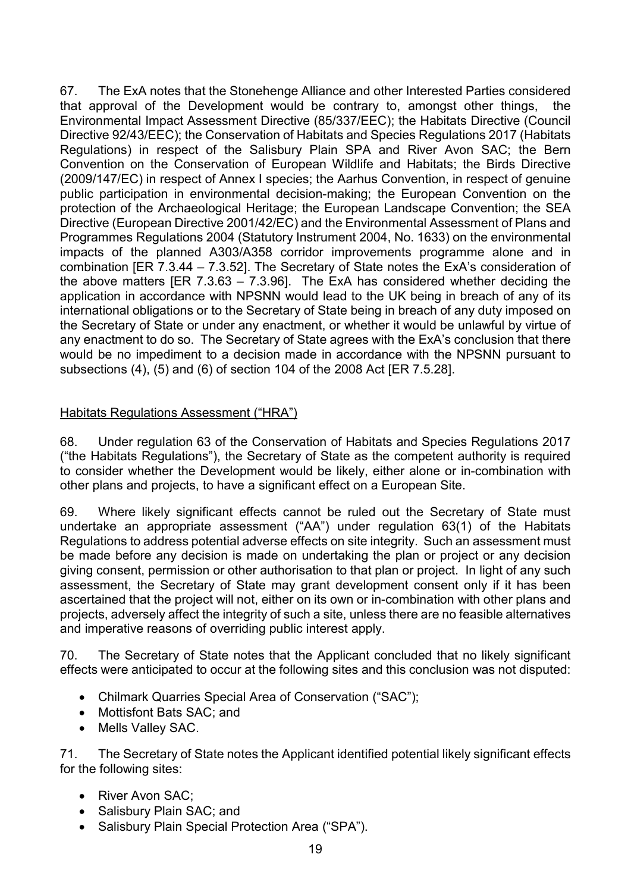67. The ExA notes that the Stonehenge Alliance and other Interested Parties considered that approval of the Development would be contrary to, amongst other things, the Environmental Impact Assessment Directive (85/337/EEC); the Habitats Directive (Council Directive 92/43/EEC); the Conservation of Habitats and Species Regulations 2017 (Habitats Regulations) in respect of the Salisbury Plain SPA and River Avon SAC; the Bern Convention on the Conservation of European Wildlife and Habitats; the Birds Directive (2009/147/EC) in respect of Annex I species; the Aarhus Convention, in respect of genuine public participation in environmental decision-making; the European Convention on the protection of the Archaeological Heritage; the European Landscape Convention; the SEA Directive (European Directive 2001/42/EC) and the Environmental Assessment of Plans and Programmes Regulations 2004 (Statutory Instrument 2004, No. 1633) on the environmental impacts of the planned A303/A358 corridor improvements programme alone and in combination [ER 7.3.44 – 7.3.52]. The Secretary of State notes the ExA's consideration of the above matters [ER 7.3.63 – 7.3.96]. The ExA has considered whether deciding the application in accordance with NPSNN would lead to the UK being in breach of any of its international obligations or to the Secretary of State being in breach of any duty imposed on the Secretary of State or under any enactment, or whether it would be unlawful by virtue of any enactment to do so. The Secretary of State agrees with the ExA's conclusion that there would be no impediment to a decision made in accordance with the NPSNN pursuant to subsections (4), (5) and (6) of section 104 of the 2008 Act [ER 7.5.28].

## Habitats Regulations Assessment ("HRA")

68. Under regulation 63 of the Conservation of Habitats and Species Regulations 2017 ("the Habitats Regulations"), the Secretary of State as the competent authority is required to consider whether the Development would be likely, either alone or in-combination with other plans and projects, to have a significant effect on a European Site.

69. Where likely significant effects cannot be ruled out the Secretary of State must undertake an appropriate assessment ("AA") under regulation 63(1) of the Habitats Regulations to address potential adverse effects on site integrity. Such an assessment must be made before any decision is made on undertaking the plan or project or any decision giving consent, permission or other authorisation to that plan or project. In light of any such assessment, the Secretary of State may grant development consent only if it has been ascertained that the project will not, either on its own or in-combination with other plans and projects, adversely affect the integrity of such a site, unless there are no feasible alternatives and imperative reasons of overriding public interest apply.

70. The Secretary of State notes that the Applicant concluded that no likely significant effects were anticipated to occur at the following sites and this conclusion was not disputed:

- Chilmark Quarries Special Area of Conservation ("SAC");
- Mottisfont Bats SAC: and
- Mells Valley SAC.

71. The Secretary of State notes the Applicant identified potential likely significant effects for the following sites:

- River Avon SAC:
- Salisbury Plain SAC; and
- Salisburv Plain Special Protection Area ("SPA").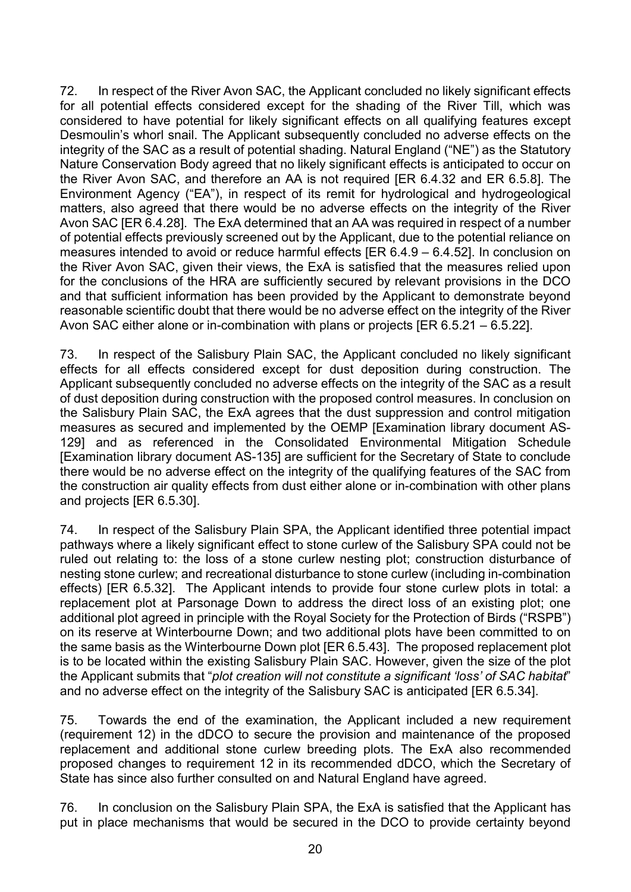72. In respect of the River Avon SAC, the Applicant concluded no likely significant effects for all potential effects considered except for the shading of the River Till, which was considered to have potential for likely significant effects on all qualifying features except Desmoulin's whorl snail. The Applicant subsequently concluded no adverse effects on the integrity of the SAC as a result of potential shading. Natural England ("NE") as the Statutory Nature Conservation Body agreed that no likely significant effects is anticipated to occur on the River Avon SAC, and therefore an AA is not required [ER 6.4.32 and ER 6.5.8]. The Environment Agency ("EA"), in respect of its remit for hydrological and hydrogeological matters, also agreed that there would be no adverse effects on the integrity of the River Avon SAC [ER 6.4.28]. The ExA determined that an AA was required in respect of a number of potential effects previously screened out by the Applicant, due to the potential reliance on measures intended to avoid or reduce harmful effects [ER 6.4.9 – 6.4.52]. In conclusion on the River Avon SAC, given their views, the ExA is satisfied that the measures relied upon for the conclusions of the HRA are sufficiently secured by relevant provisions in the DCO and that sufficient information has been provided by the Applicant to demonstrate beyond reasonable scientific doubt that there would be no adverse effect on the integrity of the River Avon SAC either alone or in-combination with plans or projects [ER 6.5.21 – 6.5.22].

73. In respect of the Salisbury Plain SAC, the Applicant concluded no likely significant effects for all effects considered except for dust deposition during construction. The Applicant subsequently concluded no adverse effects on the integrity of the SAC as a result of dust deposition during construction with the proposed control measures. In conclusion on the Salisbury Plain SAC, the ExA agrees that the dust suppression and control mitigation measures as secured and implemented by the OEMP [Examination library document AS-129] and as referenced in the Consolidated Environmental Mitigation Schedule [Examination library document AS-135] are sufficient for the Secretary of State to conclude there would be no adverse effect on the integrity of the qualifying features of the SAC from the construction air quality effects from dust either alone or in-combination with other plans and projects [ER 6.5.30].

74. In respect of the Salisbury Plain SPA, the Applicant identified three potential impact pathways where a likely significant effect to stone curlew of the Salisbury SPA could not be ruled out relating to: the loss of a stone curlew nesting plot; construction disturbance of nesting stone curlew; and recreational disturbance to stone curlew (including in-combination effects) [ER 6.5.32]. The Applicant intends to provide four stone curlew plots in total: a replacement plot at Parsonage Down to address the direct loss of an existing plot; one additional plot agreed in principle with the Royal Society for the Protection of Birds ("RSPB") on its reserve at Winterbourne Down; and two additional plots have been committed to on the same basis as the Winterbourne Down plot [ER 6.5.43]. The proposed replacement plot is to be located within the existing Salisbury Plain SAC. However, given the size of the plot the Applicant submits that "plot creation will not constitute a significant 'loss' of SAC habitat" and no adverse effect on the integrity of the Salisbury SAC is anticipated [ER 6.5.34].

75. Towards the end of the examination, the Applicant included a new requirement (requirement 12) in the dDCO to secure the provision and maintenance of the proposed replacement and additional stone curlew breeding plots. The ExA also recommended proposed changes to requirement 12 in its recommended dDCO, which the Secretary of State has since also further consulted on and Natural England have agreed.

76. In conclusion on the Salisbury Plain SPA, the ExA is satisfied that the Applicant has put in place mechanisms that would be secured in the DCO to provide certainty beyond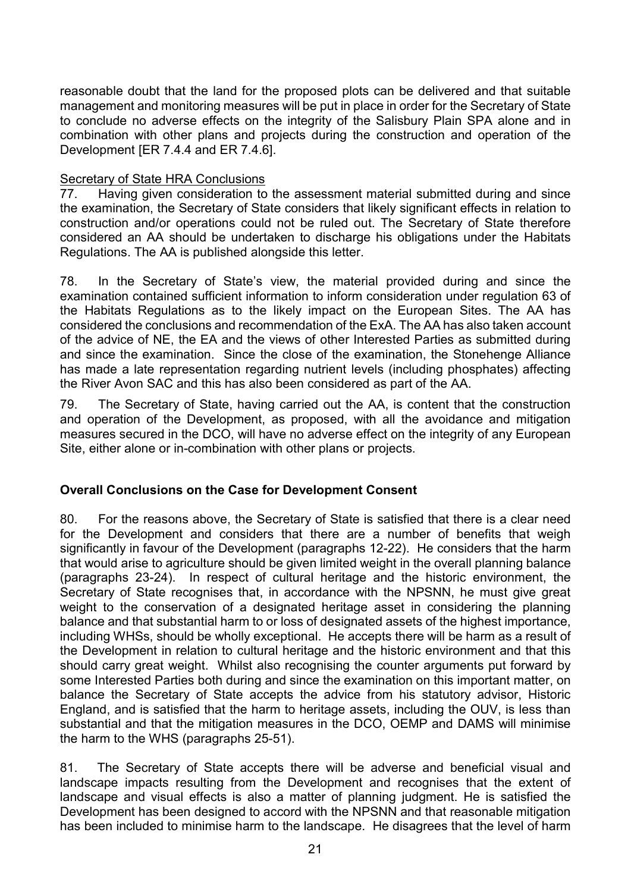reasonable doubt that the land for the proposed plots can be delivered and that suitable management and monitoring measures will be put in place in order for the Secretary of State to conclude no adverse effects on the integrity of the Salisbury Plain SPA alone and in combination with other plans and projects during the construction and operation of the Development [ER 7.4.4 and ER 7.4.6].

### Secretary of State HRA Conclusions

77. Having given consideration to the assessment material submitted during and since the examination, the Secretary of State considers that likely significant effects in relation to construction and/or operations could not be ruled out. The Secretary of State therefore considered an AA should be undertaken to discharge his obligations under the Habitats Regulations. The AA is published alongside this letter.

78. In the Secretary of State's view, the material provided during and since the examination contained sufficient information to inform consideration under regulation 63 of the Habitats Regulations as to the likely impact on the European Sites. The AA has considered the conclusions and recommendation of the ExA. The AA has also taken account of the advice of NE, the EA and the views of other Interested Parties as submitted during and since the examination. Since the close of the examination, the Stonehenge Alliance has made a late representation regarding nutrient levels (including phosphates) affecting the River Avon SAC and this has also been considered as part of the AA.

79. The Secretary of State, having carried out the AA, is content that the construction and operation of the Development, as proposed, with all the avoidance and mitigation measures secured in the DCO, will have no adverse effect on the integrity of any European Site, either alone or in-combination with other plans or projects.

## Overall Conclusions on the Case for Development Consent

80. For the reasons above, the Secretary of State is satisfied that there is a clear need for the Development and considers that there are a number of benefits that weigh significantly in favour of the Development (paragraphs 12-22). He considers that the harm that would arise to agriculture should be given limited weight in the overall planning balance (paragraphs 23-24). In respect of cultural heritage and the historic environment, the Secretary of State recognises that, in accordance with the NPSNN, he must give great weight to the conservation of a designated heritage asset in considering the planning balance and that substantial harm to or loss of designated assets of the highest importance, including WHSs, should be wholly exceptional. He accepts there will be harm as a result of the Development in relation to cultural heritage and the historic environment and that this should carry great weight. Whilst also recognising the counter arguments put forward by some Interested Parties both during and since the examination on this important matter, on balance the Secretary of State accepts the advice from his statutory advisor, Historic England, and is satisfied that the harm to heritage assets, including the OUV, is less than substantial and that the mitigation measures in the DCO, OEMP and DAMS will minimise the harm to the WHS (paragraphs 25-51).

81. The Secretary of State accepts there will be adverse and beneficial visual and landscape impacts resulting from the Development and recognises that the extent of landscape and visual effects is also a matter of planning judgment. He is satisfied the Development has been designed to accord with the NPSNN and that reasonable mitigation has been included to minimise harm to the landscape. He disagrees that the level of harm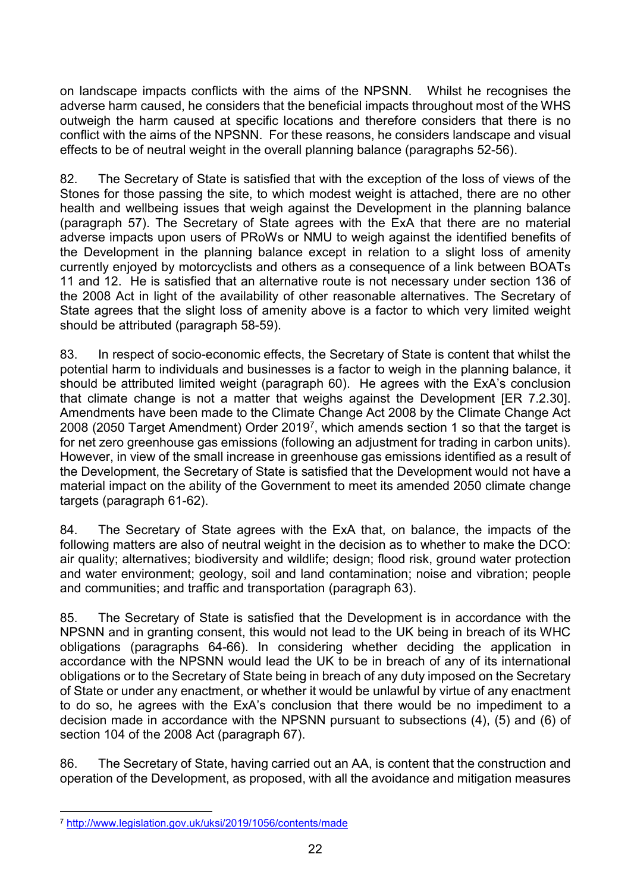on landscape impacts conflicts with the aims of the NPSNN. Whilst he recognises the adverse harm caused, he considers that the beneficial impacts throughout most of the WHS outweigh the harm caused at specific locations and therefore considers that there is no conflict with the aims of the NPSNN. For these reasons, he considers landscape and visual effects to be of neutral weight in the overall planning balance (paragraphs 52-56).

82. The Secretary of State is satisfied that with the exception of the loss of views of the Stones for those passing the site, to which modest weight is attached, there are no other health and wellbeing issues that weigh against the Development in the planning balance (paragraph 57). The Secretary of State agrees with the ExA that there are no material adverse impacts upon users of PRoWs or NMU to weigh against the identified benefits of the Development in the planning balance except in relation to a slight loss of amenity currently enjoyed by motorcyclists and others as a consequence of a link between BOATs 11 and 12. He is satisfied that an alternative route is not necessary under section 136 of the 2008 Act in light of the availability of other reasonable alternatives. The Secretary of State agrees that the slight loss of amenity above is a factor to which very limited weight should be attributed (paragraph 58-59).

83. In respect of socio-economic effects, the Secretary of State is content that whilst the potential harm to individuals and businesses is a factor to weigh in the planning balance, it should be attributed limited weight (paragraph 60). He agrees with the ExA's conclusion that climate change is not a matter that weighs against the Development [ER 7.2.30]. Amendments have been made to the Climate Change Act 2008 by the Climate Change Act 2008 (2050 Target Amendment) Order 2019<sup>7</sup>, which amends section 1 so that the target is for net zero greenhouse gas emissions (following an adjustment for trading in carbon units). However, in view of the small increase in greenhouse gas emissions identified as a result of the Development, the Secretary of State is satisfied that the Development would not have a material impact on the ability of the Government to meet its amended 2050 climate change targets (paragraph 61-62).

84. The Secretary of State agrees with the ExA that, on balance, the impacts of the following matters are also of neutral weight in the decision as to whether to make the DCO: air quality; alternatives; biodiversity and wildlife; design; flood risk, ground water protection and water environment; geology, soil and land contamination; noise and vibration; people and communities; and traffic and transportation (paragraph 63).

85. The Secretary of State is satisfied that the Development is in accordance with the NPSNN and in granting consent, this would not lead to the UK being in breach of its WHC obligations (paragraphs 64-66). In considering whether deciding the application in accordance with the NPSNN would lead the UK to be in breach of any of its international obligations or to the Secretary of State being in breach of any duty imposed on the Secretary of State or under any enactment, or whether it would be unlawful by virtue of any enactment to do so, he agrees with the ExA's conclusion that there would be no impediment to a decision made in accordance with the NPSNN pursuant to subsections (4), (5) and (6) of section 104 of the 2008 Act (paragraph 67).

86. The Secretary of State, having carried out an AA, is content that the construction and operation of the Development, as proposed, with all the avoidance and mitigation measures

 $\overline{a}$ <sup>7</sup> http://www.legislation.gov.uk/uksi/2019/1056/contents/made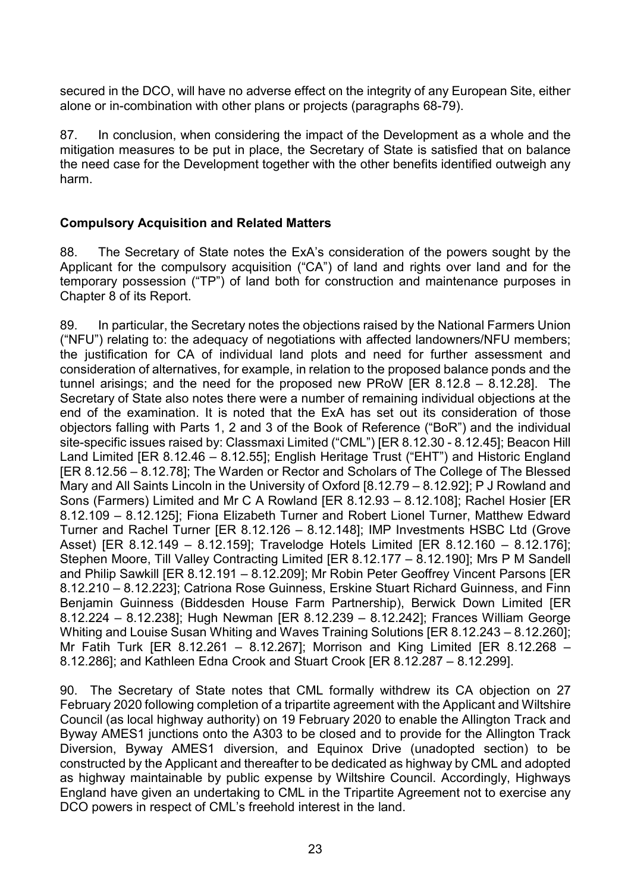secured in the DCO, will have no adverse effect on the integrity of any European Site, either alone or in-combination with other plans or projects (paragraphs 68-79).

87. In conclusion, when considering the impact of the Development as a whole and the mitigation measures to be put in place, the Secretary of State is satisfied that on balance the need case for the Development together with the other benefits identified outweigh any harm.

### Compulsory Acquisition and Related Matters

88. The Secretary of State notes the ExA's consideration of the powers sought by the Applicant for the compulsory acquisition ("CA") of land and rights over land and for the temporary possession ("TP") of land both for construction and maintenance purposes in Chapter 8 of its Report.

89. In particular, the Secretary notes the objections raised by the National Farmers Union ("NFU") relating to: the adequacy of negotiations with affected landowners/NFU members; the justification for CA of individual land plots and need for further assessment and consideration of alternatives, for example, in relation to the proposed balance ponds and the tunnel arisings; and the need for the proposed new PRoW [ER 8.12.8 – 8.12.28]. The Secretary of State also notes there were a number of remaining individual objections at the end of the examination. It is noted that the ExA has set out its consideration of those objectors falling with Parts 1, 2 and 3 of the Book of Reference ("BoR") and the individual site-specific issues raised by: Classmaxi Limited ("CML") [ER 8.12.30 - 8.12.45]; Beacon Hill Land Limited [ER 8.12.46 – 8.12.55]; English Heritage Trust ("EHT") and Historic England [ER 8.12.56 – 8.12.78]; The Warden or Rector and Scholars of The College of The Blessed Mary and All Saints Lincoln in the University of Oxford [8.12.79 – 8.12.92]; P J Rowland and Sons (Farmers) Limited and Mr C A Rowland [ER 8.12.93 – 8.12.108]; Rachel Hosier [ER 8.12.109 – 8.12.125]; Fiona Elizabeth Turner and Robert Lionel Turner, Matthew Edward Turner and Rachel Turner [ER 8.12.126 – 8.12.148]; IMP Investments HSBC Ltd (Grove Asset) [ER 8.12.149 – 8.12.159]; Travelodge Hotels Limited [ER 8.12.160 – 8.12.176]; Stephen Moore, Till Valley Contracting Limited [ER 8.12.177 – 8.12.190]; Mrs P M Sandell and Philip Sawkill [ER 8.12.191 – 8.12.209]; Mr Robin Peter Geoffrey Vincent Parsons [ER 8.12.210 – 8.12.223]; Catriona Rose Guinness, Erskine Stuart Richard Guinness, and Finn Benjamin Guinness (Biddesden House Farm Partnership), Berwick Down Limited [ER 8.12.224 – 8.12.238]; Hugh Newman [ER 8.12.239 – 8.12.242]; Frances William George Whiting and Louise Susan Whiting and Waves Training Solutions [ER 8.12.243 – 8.12.260]; Mr Fatih Turk [ER 8.12.261 – 8.12.267]; Morrison and King Limited [ER 8.12.268 – 8.12.286]; and Kathleen Edna Crook and Stuart Crook [ER 8.12.287 – 8.12.299].

90. The Secretary of State notes that CML formally withdrew its CA objection on 27 February 2020 following completion of a tripartite agreement with the Applicant and Wiltshire Council (as local highway authority) on 19 February 2020 to enable the Allington Track and Byway AMES1 junctions onto the A303 to be closed and to provide for the Allington Track Diversion, Byway AMES1 diversion, and Equinox Drive (unadopted section) to be constructed by the Applicant and thereafter to be dedicated as highway by CML and adopted as highway maintainable by public expense by Wiltshire Council. Accordingly, Highways England have given an undertaking to CML in the Tripartite Agreement not to exercise any DCO powers in respect of CML's freehold interest in the land.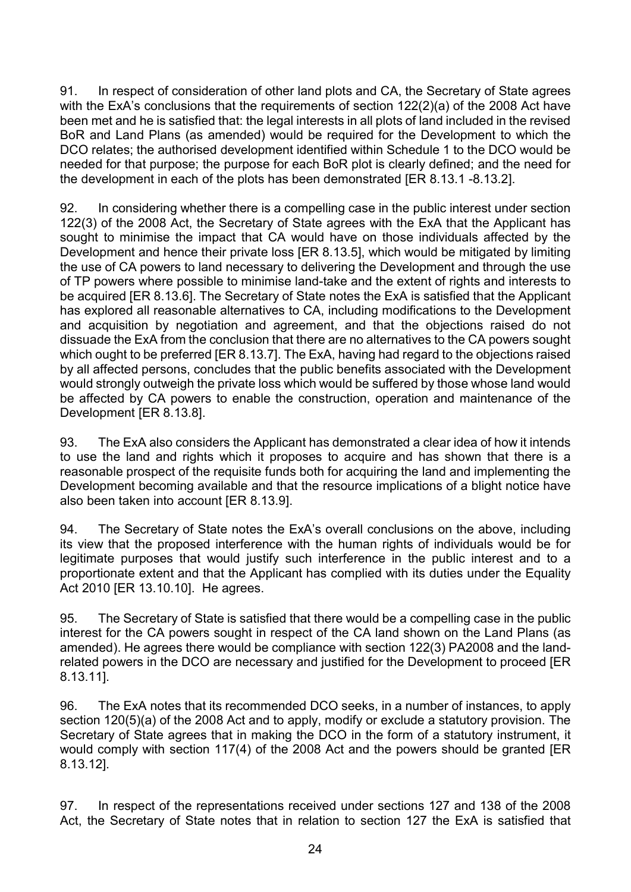91. In respect of consideration of other land plots and CA, the Secretary of State agrees with the ExA's conclusions that the requirements of section 122(2)(a) of the 2008 Act have been met and he is satisfied that: the legal interests in all plots of land included in the revised BoR and Land Plans (as amended) would be required for the Development to which the DCO relates; the authorised development identified within Schedule 1 to the DCO would be needed for that purpose; the purpose for each BoR plot is clearly defined; and the need for the development in each of the plots has been demonstrated [ER 8.13.1 -8.13.2].

92. In considering whether there is a compelling case in the public interest under section 122(3) of the 2008 Act, the Secretary of State agrees with the ExA that the Applicant has sought to minimise the impact that CA would have on those individuals affected by the Development and hence their private loss [ER 8.13.5], which would be mitigated by limiting the use of CA powers to land necessary to delivering the Development and through the use of TP powers where possible to minimise land-take and the extent of rights and interests to be acquired [ER 8.13.6]. The Secretary of State notes the ExA is satisfied that the Applicant has explored all reasonable alternatives to CA, including modifications to the Development and acquisition by negotiation and agreement, and that the objections raised do not dissuade the ExA from the conclusion that there are no alternatives to the CA powers sought which ought to be preferred [ER 8.13.7]. The ExA, having had regard to the objections raised by all affected persons, concludes that the public benefits associated with the Development would strongly outweigh the private loss which would be suffered by those whose land would be affected by CA powers to enable the construction, operation and maintenance of the Development [ER 8.13.8].

93. The ExA also considers the Applicant has demonstrated a clear idea of how it intends to use the land and rights which it proposes to acquire and has shown that there is a reasonable prospect of the requisite funds both for acquiring the land and implementing the Development becoming available and that the resource implications of a blight notice have also been taken into account [ER 8.13.9].

94. The Secretary of State notes the ExA's overall conclusions on the above, including its view that the proposed interference with the human rights of individuals would be for legitimate purposes that would justify such interference in the public interest and to a proportionate extent and that the Applicant has complied with its duties under the Equality Act 2010 [ER 13.10.10]. He agrees.

95. The Secretary of State is satisfied that there would be a compelling case in the public interest for the CA powers sought in respect of the CA land shown on the Land Plans (as amended). He agrees there would be compliance with section 122(3) PA2008 and the landrelated powers in the DCO are necessary and justified for the Development to proceed [ER 8.13.11].

96. The ExA notes that its recommended DCO seeks, in a number of instances, to apply section 120(5)(a) of the 2008 Act and to apply, modify or exclude a statutory provision. The Secretary of State agrees that in making the DCO in the form of a statutory instrument, it would comply with section 117(4) of the 2008 Act and the powers should be granted [ER 8.13.12].

97. In respect of the representations received under sections 127 and 138 of the 2008 Act, the Secretary of State notes that in relation to section 127 the ExA is satisfied that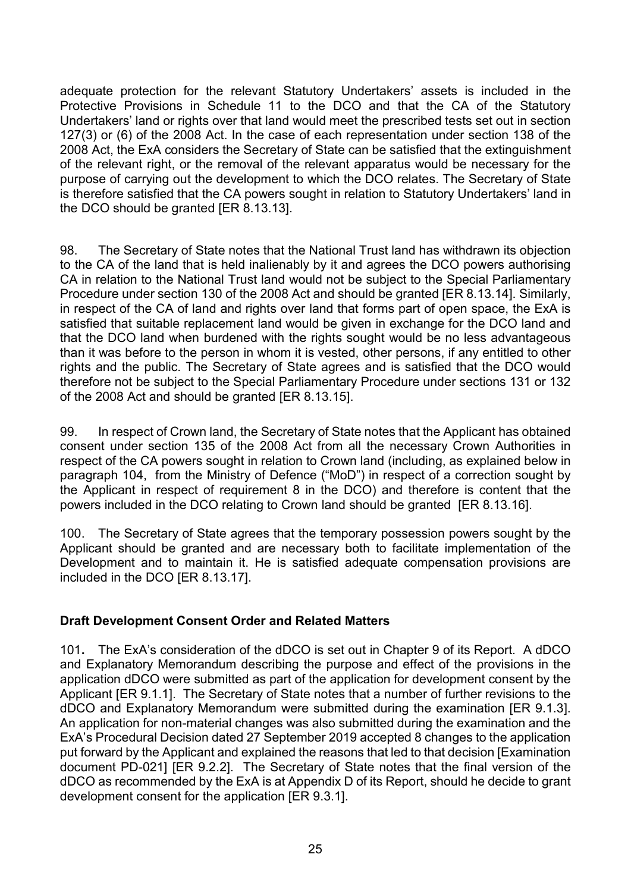adequate protection for the relevant Statutory Undertakers' assets is included in the Protective Provisions in Schedule 11 to the DCO and that the CA of the Statutory Undertakers' land or rights over that land would meet the prescribed tests set out in section 127(3) or (6) of the 2008 Act. In the case of each representation under section 138 of the 2008 Act, the ExA considers the Secretary of State can be satisfied that the extinguishment of the relevant right, or the removal of the relevant apparatus would be necessary for the purpose of carrying out the development to which the DCO relates. The Secretary of State is therefore satisfied that the CA powers sought in relation to Statutory Undertakers' land in the DCO should be granted [ER 8.13.13].

98. The Secretary of State notes that the National Trust land has withdrawn its objection to the CA of the land that is held inalienably by it and agrees the DCO powers authorising CA in relation to the National Trust land would not be subject to the Special Parliamentary Procedure under section 130 of the 2008 Act and should be granted [ER 8.13.14]. Similarly, in respect of the CA of land and rights over land that forms part of open space, the ExA is satisfied that suitable replacement land would be given in exchange for the DCO land and that the DCO land when burdened with the rights sought would be no less advantageous than it was before to the person in whom it is vested, other persons, if any entitled to other rights and the public. The Secretary of State agrees and is satisfied that the DCO would therefore not be subject to the Special Parliamentary Procedure under sections 131 or 132 of the 2008 Act and should be granted [ER 8.13.15].

99. In respect of Crown land, the Secretary of State notes that the Applicant has obtained consent under section 135 of the 2008 Act from all the necessary Crown Authorities in respect of the CA powers sought in relation to Crown land (including, as explained below in paragraph 104, from the Ministry of Defence ("MoD") in respect of a correction sought by the Applicant in respect of requirement 8 in the DCO) and therefore is content that the powers included in the DCO relating to Crown land should be granted [ER 8.13.16].

100. The Secretary of State agrees that the temporary possession powers sought by the Applicant should be granted and are necessary both to facilitate implementation of the Development and to maintain it. He is satisfied adequate compensation provisions are included in the DCO [ER 8.13.17].

## Draft Development Consent Order and Related Matters

101. The ExA's consideration of the dDCO is set out in Chapter 9 of its Report. A dDCO and Explanatory Memorandum describing the purpose and effect of the provisions in the application dDCO were submitted as part of the application for development consent by the Applicant [ER 9.1.1]. The Secretary of State notes that a number of further revisions to the dDCO and Explanatory Memorandum were submitted during the examination [ER 9.1.3]. An application for non-material changes was also submitted during the examination and the ExA's Procedural Decision dated 27 September 2019 accepted 8 changes to the application put forward by the Applicant and explained the reasons that led to that decision [Examination document PD-021] [ER 9.2.2]. The Secretary of State notes that the final version of the dDCO as recommended by the ExA is at Appendix D of its Report, should he decide to grant development consent for the application [ER 9.3.1].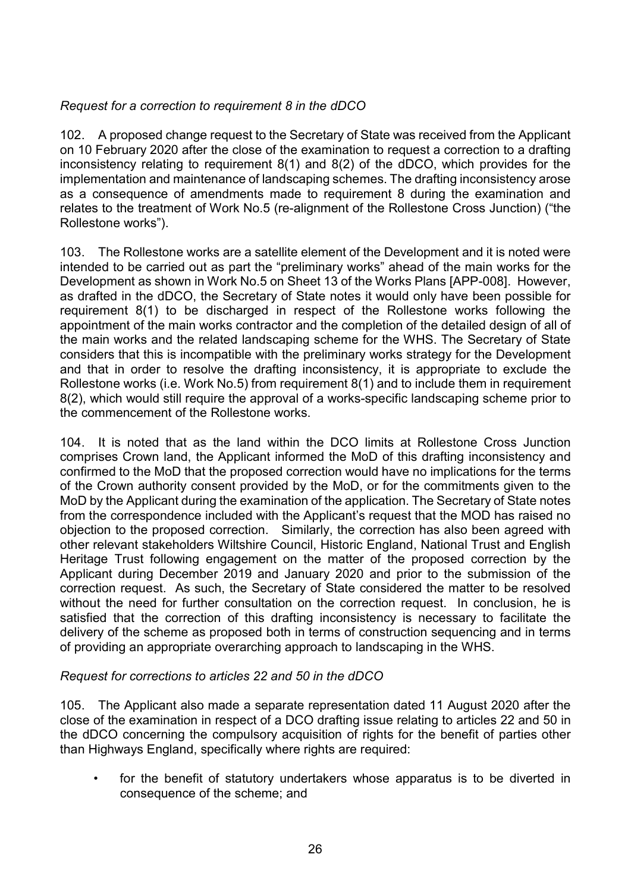## Request for a correction to requirement 8 in the dDCO

102. A proposed change request to the Secretary of State was received from the Applicant on 10 February 2020 after the close of the examination to request a correction to a drafting inconsistency relating to requirement 8(1) and 8(2) of the dDCO, which provides for the implementation and maintenance of landscaping schemes. The drafting inconsistency arose as a consequence of amendments made to requirement 8 during the examination and relates to the treatment of Work No.5 (re-alignment of the Rollestone Cross Junction) ("the Rollestone works").

103. The Rollestone works are a satellite element of the Development and it is noted were intended to be carried out as part the "preliminary works" ahead of the main works for the Development as shown in Work No.5 on Sheet 13 of the Works Plans [APP-008]. However, as drafted in the dDCO, the Secretary of State notes it would only have been possible for requirement 8(1) to be discharged in respect of the Rollestone works following the appointment of the main works contractor and the completion of the detailed design of all of the main works and the related landscaping scheme for the WHS. The Secretary of State considers that this is incompatible with the preliminary works strategy for the Development and that in order to resolve the drafting inconsistency, it is appropriate to exclude the Rollestone works (i.e. Work No.5) from requirement 8(1) and to include them in requirement 8(2), which would still require the approval of a works-specific landscaping scheme prior to the commencement of the Rollestone works.

104. It is noted that as the land within the DCO limits at Rollestone Cross Junction comprises Crown land, the Applicant informed the MoD of this drafting inconsistency and confirmed to the MoD that the proposed correction would have no implications for the terms of the Crown authority consent provided by the MoD, or for the commitments given to the MoD by the Applicant during the examination of the application. The Secretary of State notes from the correspondence included with the Applicant's request that the MOD has raised no objection to the proposed correction. Similarly, the correction has also been agreed with other relevant stakeholders Wiltshire Council, Historic England, National Trust and English Heritage Trust following engagement on the matter of the proposed correction by the Applicant during December 2019 and January 2020 and prior to the submission of the correction request. As such, the Secretary of State considered the matter to be resolved without the need for further consultation on the correction request. In conclusion, he is satisfied that the correction of this drafting inconsistency is necessary to facilitate the delivery of the scheme as proposed both in terms of construction sequencing and in terms of providing an appropriate overarching approach to landscaping in the WHS.

#### Request for corrections to articles 22 and 50 in the dDCO

105. The Applicant also made a separate representation dated 11 August 2020 after the close of the examination in respect of a DCO drafting issue relating to articles 22 and 50 in the dDCO concerning the compulsory acquisition of rights for the benefit of parties other than Highways England, specifically where rights are required:

 • for the benefit of statutory undertakers whose apparatus is to be diverted in consequence of the scheme; and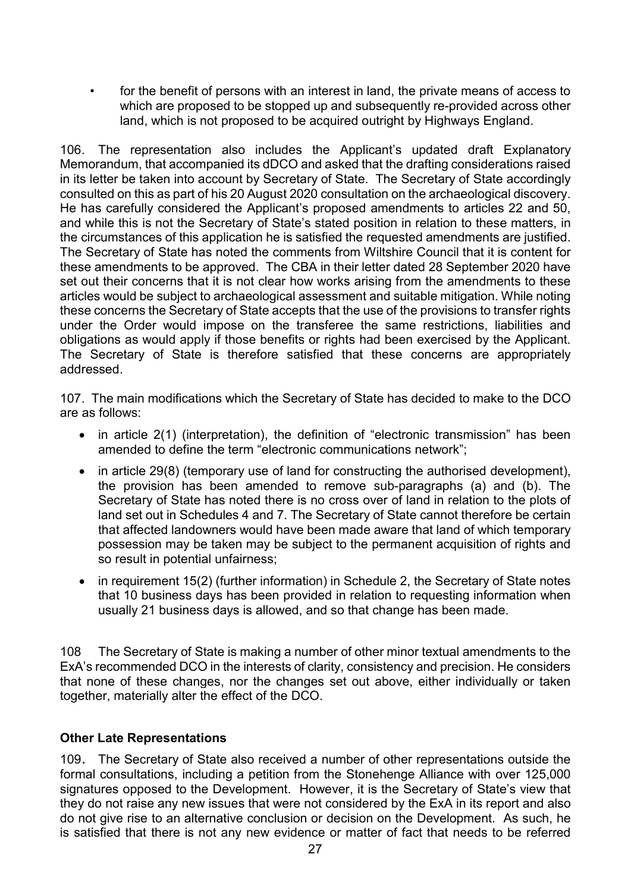• for the benefit of persons with an interest in land, the private means of access to which are proposed to be stopped up and subsequently re-provided across other land, which is not proposed to be acquired outright by Highways England.

106. The representation also includes the Applicant's updated draft Explanatory Memorandum, that accompanied its dDCO and asked that the drafting considerations raised in its letter be taken into account by Secretary of State. The Secretary of State accordingly consulted on this as part of his 20 August 2020 consultation on the archaeological discovery. He has carefully considered the Applicant's proposed amendments to articles 22 and 50, and while this is not the Secretary of State's stated position in relation to these matters, in the circumstances of this application he is satisfied the requested amendments are justified. The Secretary of State has noted the comments from Wiltshire Council that it is content for these amendments to be approved. The CBA in their letter dated 28 September 2020 have set out their concerns that it is not clear how works arising from the amendments to these articles would be subject to archaeological assessment and suitable mitigation. While noting these concerns the Secretary of State accepts that the use of the provisions to transfer rights under the Order would impose on the transferee the same restrictions, liabilities and obligations as would apply if those benefits or rights had been exercised by the Applicant. The Secretary of State is therefore satisfied that these concerns are appropriately addressed.

107. The main modifications which the Secretary of State has decided to make to the DCO are as follows:

- in article 2(1) (interpretation), the definition of "electronic transmission" has been amended to define the term "electronic communications network";
- in article 29(8) (temporary use of land for constructing the authorised development), the provision has been amended to remove sub-paragraphs (a) and (b). The Secretary of State has noted there is no cross over of land in relation to the plots of land set out in Schedules 4 and 7. The Secretary of State cannot therefore be certain that affected landowners would have been made aware that land of which temporary possession may be taken may be subject to the permanent acquisition of rights and so result in potential unfairness;
- in requirement 15(2) (further information) in Schedule 2, the Secretary of State notes that 10 business days has been provided in relation to requesting information when usually 21 business days is allowed, and so that change has been made.

108 The Secretary of State is making a number of other minor textual amendments to the ExA's recommended DCO in the interests of clarity, consistency and precision. He considers that none of these changes, nor the changes set out above, either individually or taken together, materially alter the effect of the DCO.

## Other Late Representations

109. The Secretary of State also received a number of other representations outside the formal consultations, including a petition from the Stonehenge Alliance with over 125,000 signatures opposed to the Development. However, it is the Secretary of State's view that they do not raise any new issues that were not considered by the ExA in its report and also do not give rise to an alternative conclusion or decision on the Development. As such, he is satisfied that there is not any new evidence or matter of fact that needs to be referred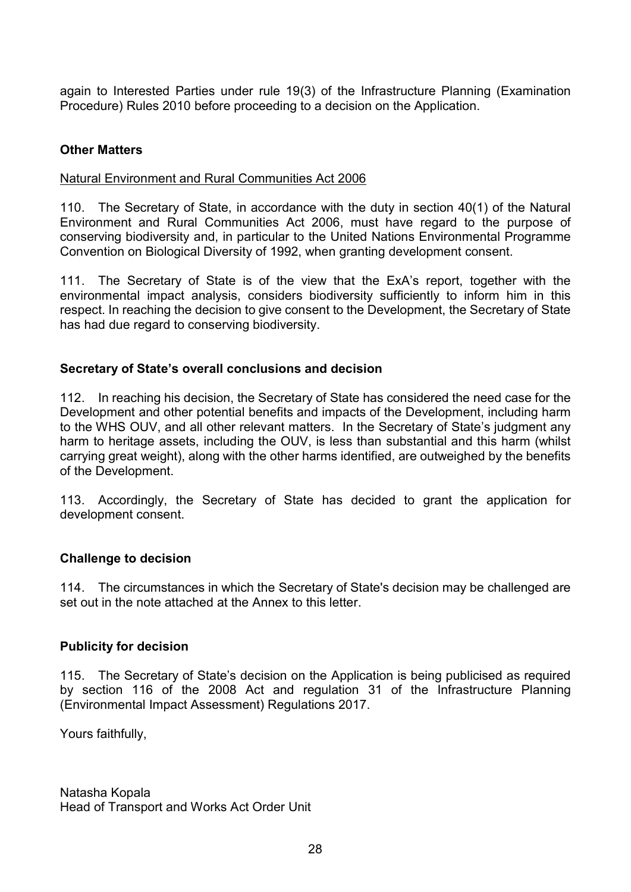again to Interested Parties under rule 19(3) of the Infrastructure Planning (Examination Procedure) Rules 2010 before proceeding to a decision on the Application.

### Other Matters

#### Natural Environment and Rural Communities Act 2006

110. The Secretary of State, in accordance with the duty in section 40(1) of the Natural Environment and Rural Communities Act 2006, must have regard to the purpose of conserving biodiversity and, in particular to the United Nations Environmental Programme Convention on Biological Diversity of 1992, when granting development consent.

111. The Secretary of State is of the view that the ExA's report, together with the environmental impact analysis, considers biodiversity sufficiently to inform him in this respect. In reaching the decision to give consent to the Development, the Secretary of State has had due regard to conserving biodiversity.

#### Secretary of State's overall conclusions and decision

112. In reaching his decision, the Secretary of State has considered the need case for the Development and other potential benefits and impacts of the Development, including harm to the WHS OUV, and all other relevant matters. In the Secretary of State's judgment any harm to heritage assets, including the OUV, is less than substantial and this harm (whilst carrying great weight), along with the other harms identified, are outweighed by the benefits of the Development.

113. Accordingly, the Secretary of State has decided to grant the application for development consent.

#### Challenge to decision

114. The circumstances in which the Secretary of State's decision may be challenged are set out in the note attached at the Annex to this letter.

#### Publicity for decision

115. The Secretary of State's decision on the Application is being publicised as required by section 116 of the 2008 Act and regulation 31 of the Infrastructure Planning (Environmental Impact Assessment) Regulations 2017.

Yours faithfully,

Natasha Kopala Head of Transport and Works Act Order Unit